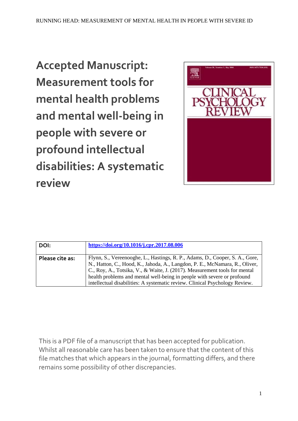**Accepted Manuscript: Measurement tools for mental health problems and mental well-being in people with severe or profound intellectual disabilities: A systematic review**



| DOI:            | https://doi.org/10.1016/j.cpr.2017.08.006                                                                                                                                                                                                                                                                                                                                                           |
|-----------------|-----------------------------------------------------------------------------------------------------------------------------------------------------------------------------------------------------------------------------------------------------------------------------------------------------------------------------------------------------------------------------------------------------|
| Please cite as: | Flynn, S., Vereenooghe, L., Hastings, R. P., Adams, D., Cooper, S. A., Gore,<br>N., Hatton, C., Hood, K., Jahoda, A., Langdon, P. E., McNamara, R., Oliver,<br>C., Roy, A., Totsika, V., & Waite, J. (2017). Measurement tools for mental<br>health problems and mental well-being in people with severe or profound<br>intellectual disabilities: A systematic review. Clinical Psychology Review. |

This is a PDF file of a manuscript that has been accepted for publication. Whilst all reasonable care has been taken to ensure that the content of this file matches that which appears in the journal, formatting differs, and there remains some possibility of other discrepancies.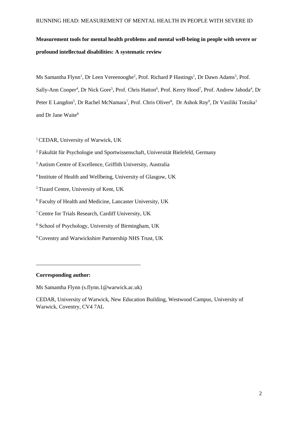# **Measurement tools for mental health problems and mental well-being in people with severe or profound intellectual disabilities: A systematic review**

Ms Samantha Flynn<sup>1</sup>, Dr Leen Vereenooghe<sup>2</sup>, Prof. Richard P Hastings<sup>1</sup>, Dr Dawn Adams<sup>3</sup>, Prof. Sally-Ann Cooper<sup>4</sup>, Dr Nick Gore<sup>5</sup>, Prof. Chris Hatton<sup>6</sup>, Prof. Kerry Hood<sup>7</sup>, Prof. Andrew Jahoda<sup>4</sup>, Dr Peter E Langdon<sup>5</sup>, Dr Rachel McNamara<sup>7</sup>, Prof. Chris Oliver<sup>8</sup>, Dr Ashok Roy<sup>9</sup>, Dr Vasiliki Totsika<sup>1</sup> and Dr Jane Waite<sup>8</sup>

<sup>1</sup> CEDAR, University of Warwick, UK

<sup>2</sup> Fakultät für Psychologie und Sportwissenschaft, Universität Bielefeld, Germany

- <sup>3</sup> Autism Centre of Excellence, Griffith University, Australia
- <sup>4</sup> Institute of Health and Wellbeing, University of Glasgow, UK
- <sup>5</sup>Tizard Centre, University of Kent, UK

<sup>6</sup> Faculty of Health and Medicine, Lancaster University, UK

<sup>7</sup>Centre for Trials Research, Cardiff University, UK

<sup>8</sup> School of Psychology, University of Birmingham, UK

<sup>9</sup>Coventry and Warwickshire Partnership NHS Trust, UK

#### **Corresponding author:**

Ms Samantha Flynn (s.flynn.1@warwick.ac.uk)

\_\_\_\_\_\_\_\_\_\_\_\_\_\_\_\_\_\_\_\_\_\_\_\_\_\_\_\_\_\_\_\_\_\_\_\_\_\_

CEDAR, University of Warwick, New Education Building, Westwood Campus, University of Warwick, Coventry, CV4 7AL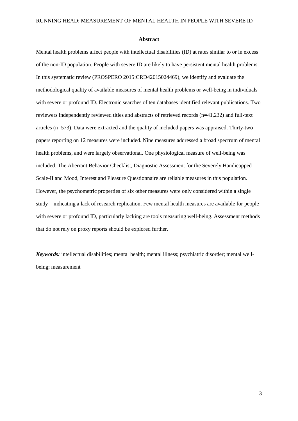#### **Abstract**

Mental health problems affect people with intellectual disabilities (ID) at rates similar to or in excess of the non-ID population. People with severe ID are likely to have persistent mental health problems. In this systematic review (PROSPERO 2015:CRD42015024469), we identify and evaluate the methodological quality of available measures of mental health problems or well-being in individuals with severe or profound ID. Electronic searches of ten databases identified relevant publications. Two reviewers independently reviewed titles and abstracts of retrieved records (n=41,232) and full-text articles (n=573). Data were extracted and the quality of included papers was appraised. Thirty-two papers reporting on 12 measures were included. Nine measures addressed a broad spectrum of mental health problems, and were largely observational. One physiological measure of well-being was included. The Aberrant Behavior Checklist, Diagnostic Assessment for the Severely Handicapped Scale-II and Mood, Interest and Pleasure Questionnaire are reliable measures in this population. However, the psychometric properties of six other measures were only considered within a single study – indicating a lack of research replication. Few mental health measures are available for people with severe or profound ID, particularly lacking are tools measuring well-being. Assessment methods that do not rely on proxy reports should be explored further.

*Keywords:* intellectual disabilities; mental health; mental illness; psychiatric disorder; mental wellbeing; measurement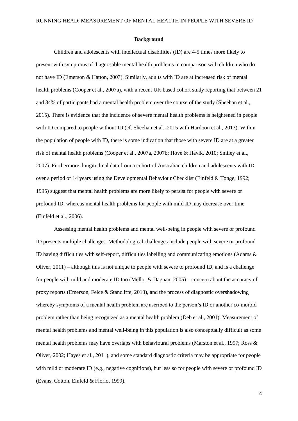#### **Background**

Children and adolescents with intellectual disabilities (ID) are 4-5 times more likely to present with symptoms of diagnosable mental health problems in comparison with children who do not have ID (Emerson & Hatton, 2007). Similarly, adults with ID are at increased risk of mental health problems (Cooper et al., 2007a), with a recent UK based cohort study reporting that between 21 and 34% of participants had a mental health problem over the course of the study (Sheehan et al., 2015). There is evidence that the incidence of severe mental health problems is heightened in people with ID compared to people without ID (cf. Sheehan et al., 2015 with Hardoon et al., 2013). Within the population of people with ID, there is some indication that those with severe ID are at a greater risk of mental health problems (Cooper et al., 2007a, 2007b; Hove & Havik, 2010; Smiley et al., 2007). Furthermore, longitudinal data from a cohort of Australian children and adolescents with ID over a period of 14 years using the Developmental Behaviour Checklist (Einfeld & Tonge, 1992; 1995) suggest that mental health problems are more likely to persist for people with severe or profound ID, whereas mental health problems for people with mild ID may decrease over time (Einfeld et al., 2006).

Assessing mental health problems and mental well-being in people with severe or profound ID presents multiple challenges. Methodological challenges include people with severe or profound ID having difficulties with self-report, difficulties labelling and communicating emotions (Adams & Oliver, 2011) – although this is not unique to people with severe to profound ID, and is a challenge for people with mild and moderate ID too (Mellor & Dagnan, 2005) – concern about the accuracy of proxy reports (Emerson, Felce & Stancliffe, 2013), and the process of diagnostic overshadowing whereby symptoms of a mental health problem are ascribed to the person's ID or another co-morbid problem rather than being recognized as a mental health problem (Deb et al., 2001). Measurement of mental health problems and mental well-being in this population is also conceptually difficult as some mental health problems may have overlaps with behavioural problems (Marston et al., 1997; Ross & Oliver, 2002; Hayes et al., 2011), and some standard diagnostic criteria may be appropriate for people with mild or moderate ID (e.g., negative cognitions), but less so for people with severe or profound ID (Evans, Cotton, Einfeld & Florio, 1999).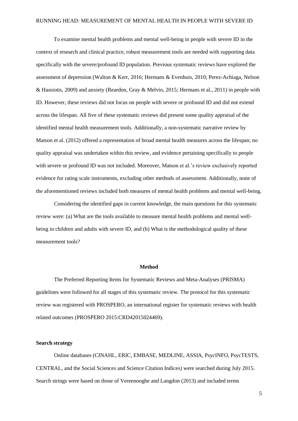To examine mental health problems and mental well-being in people with severe ID in the context of research and clinical practice, robust measurement tools are needed with supporting data specifically with the severe/profound ID population. Previous systematic reviews have explored the assessment of depression (Walton & Kerr, 2016; Hermans & Evenhuis, 2010; Perez-Achiaga, Nelson & Hassiotis, 2009) and anxiety (Reardon, Gray & Melvin, 2015; Hermans et al., 2011) in people with ID. However, these reviews did not focus on people with severe or profound ID and did not extend across the lifespan. All five of these systematic reviews did present some quality appraisal of the identified mental health measurement tools. Additionally, a non-systematic narrative review by Matson et al. (2012) offered a representation of broad mental health measures across the lifespan; no quality appraisal was undertaken within this review, and evidence pertaining specifically to people with severe or profound ID was not included. Moreover, Matson et al.'s review exclusively reported evidence for rating scale instruments, excluding other methods of assessment. Additionally, none of the aforementioned reviews included both measures of mental health problems and mental well-being.

Considering the identified gaps in current knowledge, the main questions for this systematic review were: (a) What are the tools available to measure mental health problems and mental wellbeing in children and adults with severe ID, and (b) What is the methodological quality of these measurement tools?

#### **Method**

The Preferred Reporting Items for Systematic Reviews and Meta-Analyses (PRISMA) guidelines were followed for all stages of this systematic review. The protocol for this systematic review was registered with PROSPERO, an international register for systematic reviews with health related outcomes (PROSPERO 2015:CRD42015024469).

#### **Search strategy**

Online databases (CINAHL, ERIC, EMBASE, MEDLINE, ASSIA, PsycINFO, PsycTESTS, CENTRAL, and the Social Sciences and Science Citation Indices) were searched during July 2015. Search strings were based on those of Vereenooghe and Langdon (2013) and included terms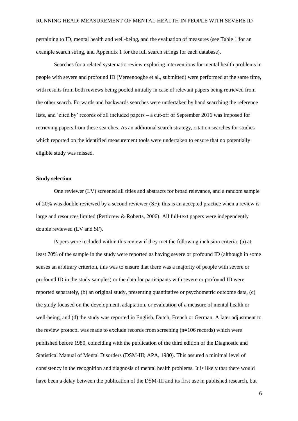pertaining to ID, mental health and well-being, and the evaluation of measures (see Table 1 for an example search string, and Appendix 1 for the full search strings for each database).

Searches for a related systematic review exploring interventions for mental health problems in people with severe and profound ID (Vereenooghe et al., submitted) were performed at the same time, with results from both reviews being pooled initially in case of relevant papers being retrieved from the other search. Forwards and backwards searches were undertaken by hand searching the reference lists, and 'cited by' records of all included papers – a cut-off of September 2016 was imposed for retrieving papers from these searches. As an additional search strategy, citation searches for studies which reported on the identified measurement tools were undertaken to ensure that no potentially eligible study was missed.

#### **Study selection**

One reviewer (LV) screened all titles and abstracts for broad relevance, and a random sample of 20% was double reviewed by a second reviewer (SF); this is an accepted practice when a review is large and resources limited (Petticrew & Roberts, 2006). All full-text papers were independently double reviewed (LV and SF).

Papers were included within this review if they met the following inclusion criteria: (a) at least 70% of the sample in the study were reported as having severe or profound ID (although in some senses an arbitrary criterion, this was to ensure that there was a majority of people with severe or profound ID in the study samples) or the data for participants with severe or profound ID were reported separately, (b) an original study, presenting quantitative or psychometric outcome data, (c) the study focused on the development, adaptation, or evaluation of a measure of mental health or well-being, and (d) the study was reported in English, Dutch, French or German. A later adjustment to the review protocol was made to exclude records from screening (n=106 records) which were published before 1980, coinciding with the publication of the third edition of the Diagnostic and Statistical Manual of Mental Disorders (DSM-III; APA, 1980). This assured a minimal level of consistency in the recognition and diagnosis of mental health problems. It is likely that there would have been a delay between the publication of the DSM-III and its first use in published research, but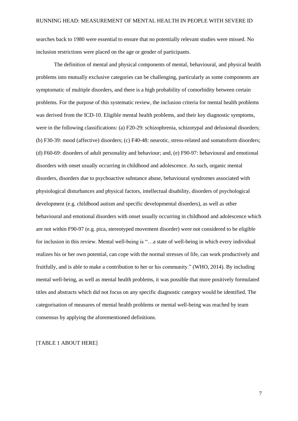searches back to 1980 were essential to ensure that no potentially relevant studies were missed. No inclusion restrictions were placed on the age or gender of participants.

The definition of mental and physical components of mental, behavioural, and physical health problems into mutually exclusive categories can be challenging, particularly as some components are symptomatic of multiple disorders, and there is a high probability of comorbidity between certain problems. For the purpose of this systematic review, the inclusion criteria for mental health problems was derived from the ICD-10. Eligible mental health problems, and their key diagnostic symptoms, were in the following classifications: (a) F20-29: schizophrenia, schizotypal and delusional disorders; (b) F30-39: mood (affective) disorders; (c) F40-48: neurotic, stress-related and somatoform disorders; (d) F60-69: disorders of adult personality and behaviour; and, (e) F90-97: behavioural and emotional disorders with onset usually occurring in childhood and adolescence. As such, organic mental disorders, disorders due to psychoactive substance abuse, behavioural syndromes associated with physiological disturbances and physical factors, intellectual disability, disorders of psychological development (e.g. childhood autism and specific developmental disorders), as well as other behavioural and emotional disorders with onset usually occurring in childhood and adolescence which are not within F90-97 (e.g. pica, stereotyped movement disorder) were not considered to be eligible for inclusion in this review. Mental well-being is "...a state of well-being in which every individual realizes his or her own potential, can cope with the normal stresses of life, can work productively and fruitfully, and is able to make a contribution to her or his community." (WHO, 2014). By including mental well-being, as well as mental health problems, it was possible that more positively formulated titles and abstracts which did not focus on any specific diagnostic category would be identified. The categorisation of measures of mental health problems or mental well-being was reached by team consensus by applying the aforementioned definitions.

#### [TABLE 1 ABOUT HERE]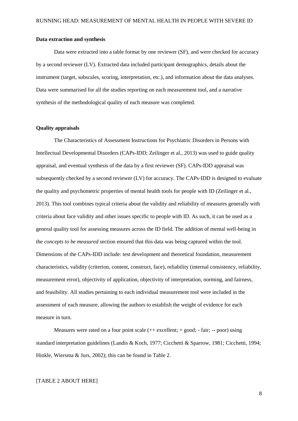#### **Data extraction and synthesis**

Data were extracted into a table format by one reviewer (SF), and were checked for accuracy by a second reviewer (LV). Extracted data included participant demographics, details about the instrument (target, subscales, scoring, interpretation, etc.), and information about the data analyses. Data were summarised for all the studies reporting on each measurement tool, and a narrative synthesis of the methodological quality of each measure was completed.

#### **Quality appraisals**

The Characteristics of Assessment Instructions for Psychiatric Disorders in Persons with Intellectual Developmental Disorders (CAPs-IDD; Zeilinger et al., 2013) was used to guide quality appraisal, and eventual synthesis of the data by a first reviewer (SF). CAPs-IDD appraisal was subsequently checked by a second reviewer (LV) for accuracy. The CAPs-IDD is designed to evaluate the quality and psychometric properties of mental health tools for people with ID (Zeilinger et al., 2013). This tool combines typical criteria about the validity and reliability of measures generally with criteria about face validity and other issues specific to people with ID. As such, it can be used as a general quality tool for assessing measures across the ID field. The addition of mental well-being in the *concepts to be measured* section ensured that this data was being captured within the tool. Dimensions of the CAPs-IDD include: test development and theoretical foundation, measurement characteristics, validity (criterion, content, construct, face), reliability (internal consistency, reliability, measurement error), objectivity of application, objectivity of interpretation, norming, and fairness, and feasibility. All studies pertaining to each individual measurement tool were included in the assessment of each measure, allowing the authors to establish the weight of evidence for each measure in turn.

Measures were rated on a four point scale  $(++)$  excellent;  $+$  good;  $-$  fair;  $-$  poor) using standard interpretation guidelines (Landis & Koch, 1977; Cicchetti & Sparrow, 1981; Cicchetti, 1994; Hinkle, Wiersma & Jurs, 2002); this can be found in Table 2.

#### [TABLE 2 ABOUT HERE]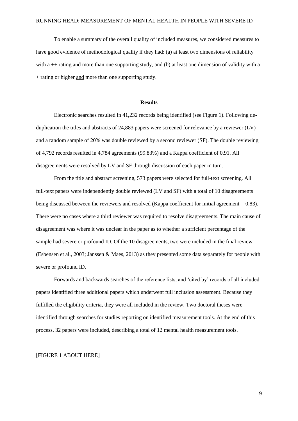To enable a summary of the overall quality of included measures, we considered measures to have good evidence of methodological quality if they had: (a) at least two dimensions of reliability with  $a ++$  rating and more than one supporting study, and (b) at least one dimension of validity with a + rating or higher and more than one supporting study.

#### **Results**

Electronic searches resulted in 41,232 records being identified (see Figure 1). Following deduplication the titles and abstracts of 24,883 papers were screened for relevance by a reviewer (LV) and a random sample of 20% was double reviewed by a second reviewer (SF). The double reviewing of 4,792 records resulted in 4,784 agreements (99.83%) and a Kappa coefficient of 0.91. All disagreements were resolved by LV and SF through discussion of each paper in turn.

From the title and abstract screening, 573 papers were selected for full-text screening. All full-text papers were independently double reviewed (LV and SF) with a total of 10 disagreements being discussed between the reviewers and resolved (Kappa coefficient for initial agreement = 0.83). There were no cases where a third reviewer was required to resolve disagreements. The main cause of disagreement was where it was unclear in the paper as to whether a sufficient percentage of the sample had severe or profound ID. Of the 10 disagreements, two were included in the final review (Esbensen et al., 2003; Janssen & Maes, 2013) as they presented some data separately for people with severe or profound ID.

Forwards and backwards searches of the reference lists, and 'cited by' records of all included papers identified three additional papers which underwent full inclusion assessment. Because they fulfilled the eligibility criteria, they were all included in the review. Two doctoral theses were identified through searches for studies reporting on identified measurement tools. At the end of this process, 32 papers were included, describing a total of 12 mental health measurement tools.

#### [FIGURE 1 ABOUT HERE]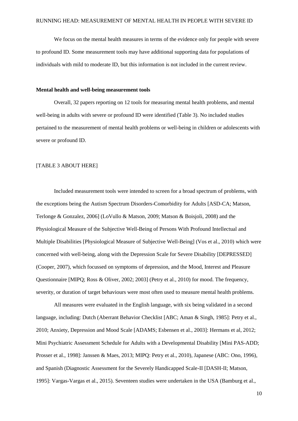We focus on the mental health measures in terms of the evidence only for people with severe to profound ID. Some measurement tools may have additional supporting data for populations of individuals with mild to moderate ID, but this information is not included in the current review.

#### **Mental health and well-being measurement tools**

Overall, 32 papers reporting on 12 tools for measuring mental health problems, and mental well-being in adults with severe or profound ID were identified (Table 3). No included studies pertained to the measurement of mental health problems or well-being in children or adolescents with severe or profound ID.

#### [TABLE 3 ABOUT HERE]

Included measurement tools were intended to screen for a broad spectrum of problems, with the exceptions being the Autism Spectrum Disorders-Comorbidity for Adults [ASD-CA; Matson, Terlonge & Gonzalez, 2006] (LoVullo & Matson, 2009; Matson & Boisjoli, 2008) and the Physiological Measure of the Subjective Well-Being of Persons With Profound Intellectual and Multiple Disabilities [Physiological Measure of Subjective Well-Being] (Vos et al., 2010) which were concerned with well-being, along with the Depression Scale for Severe Disability [DEPRESSED] (Cooper, 2007), which focussed on symptoms of depression, and the Mood, Interest and Pleasure Questionnaire [MIPQ; Ross & Oliver, 2002; 2003] (Petry et al., 2010) for mood. The frequency, severity, or duration of target behaviours were most often used to measure mental health problems.

All measures were evaluated in the English language, with six being validated in a second language, including: Dutch (Aberrant Behavior Checklist [ABC; Aman & Singh, 1985]: Petry et al., 2010; Anxiety, Depression and Mood Scale [ADAMS; Esbensen et al., 2003]: Hermans et al, 2012; Mini Psychiatric Assessment Schedule for Adults with a Developmental Disability [Mini PAS-ADD; Prosser et al., 1998]: Janssen & Maes, 2013; MIPQ: Petry et al., 2010), Japanese (ABC: Ono, 1996), and Spanish (Diagnostic Assessment for the Severely Handicapped Scale-II [DASH-II; Matson, 1995]: Vargas-Vargas et al., 2015). Seventeen studies were undertaken in the USA (Bamburg et al.,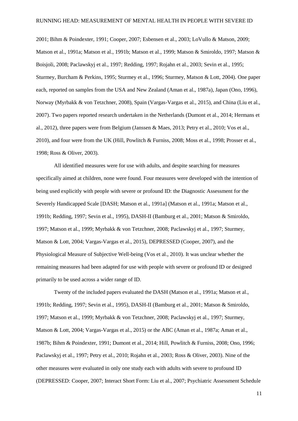2001; Bihm & Poindexter, 1991; Cooper, 2007; Esbensen et al., 2003; LoVullo & Matson, 2009; Matson et al., 1991a; Matson et al., 1991b; Matson et al., 1999; Matson & Smiroldo, 1997; Matson & Boisjoli, 2008; Paclawskyj et al., 1997; Redding, 1997; Rojahn et al., 2003; Sevin et al., 1995; Sturmey, Burcham & Perkins, 1995; Sturmey et al., 1996; Sturmey, Matson & Lott, 2004). One paper each, reported on samples from the USA and New Zealand (Aman et al., 1987a), Japan (Ono, 1996), Norway (Myrbakk & von Tetzchner, 2008), Spain (Vargas-Vargas et al., 2015), and China (Liu et al., 2007). Two papers reported research undertaken in the Netherlands (Dumont et al., 2014; Hermans et al., 2012), three papers were from Belgium (Janssen & Maes, 2013; Petry et al., 2010; Vos et al., 2010), and four were from the UK (Hill, Powlitch & Furniss, 2008; Moss et al., 1998; Prosser et al., 1998; Ross & Oliver, 2003).

All identified measures were for use with adults, and despite searching for measures specifically aimed at children, none were found. Four measures were developed with the intention of being used explicitly with people with severe or profound ID: the Diagnostic Assessment for the Severely Handicapped Scale [DASH; Matson et al., 1991a] (Matson et al., 1991a; Matson et al., 1991b; Redding, 1997; Sevin et al., 1995), DASH-II (Bamburg et al., 2001; Matson & Smiroldo, 1997; Matson et al., 1999; Myrbakk & von Tetzchner, 2008; Paclawskyj et al., 1997; Sturmey, Matson & Lott, 2004; Vargas-Vargas et al., 2015), DEPRESSED (Cooper, 2007), and the Physiological Measure of Subjective Well-being (Vos et al., 2010). It was unclear whether the remaining measures had been adapted for use with people with severe or profound ID or designed primarily to be used across a wider range of ID.

Twenty of the included papers evaluated the DASH (Matson et al., 1991a; Matson et al., 1991b; Redding, 1997; Sevin et al., 1995), DASH-II (Bamburg et al., 2001; Matson & Smiroldo, 1997; Matson et al., 1999; Myrbakk & von Tetzchner, 2008; Paclawskyj et al., 1997; Sturmey, Matson & Lott, 2004; Vargas-Vargas et al., 2015) or the ABC (Aman et al., 1987a; Aman et al., 1987b; Bihm & Poindexter, 1991; Dumont et al., 2014; Hill, Powlitch & Furniss, 2008; Ono, 1996; Paclawskyj et al., 1997; Petry et al., 2010; Rojahn et al., 2003; Ross & Oliver, 2003). Nine of the other measures were evaluated in only one study each with adults with severe to profound ID (DEPRESSED: Cooper, 2007; Interact Short Form: Liu et al., 2007; Psychiatric Assessment Schedule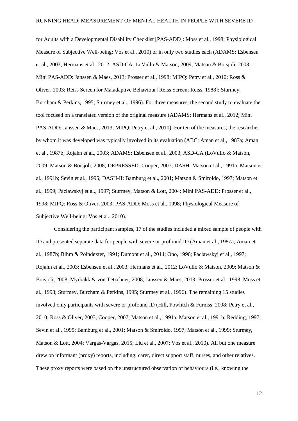for Adults with a Developmental Disability Checklist [PAS-ADD]: Moss et al., 1998; Physiological Measure of Subjective Well-being: Vos et al., 2010) or in only two studies each (ADAMS: Esbensen et al., 2003; Hermans et al., 2012; ASD-CA: LoVullo & Matson, 2009; Matson & Boisjoli, 2008; Mini PAS-ADD: Janssen & Maes, 2013; Prosser et al., 1998; MIPQ: Petry et al., 2010; Ross & Oliver, 2003; Reiss Screen for Maladaptive Behaviour [Reiss Screen; Reiss, 1988]: Sturmey, Burcham & Perkins, 1995; Sturmey et al., 1996). For three measures, the second study to evaluate the tool focused on a translated version of the original measure (ADAMS: Hermans et al., 2012; Mini PAS-ADD: Janssen & Maes, 2013; MIPQ: Petry et al., 2010). For ten of the measures, the researcher by whom it was developed was typically involved in its evaluation (ABC: Aman et al., 1987a; Aman et al., 1987b; Rojahn et al., 2003; ADAMS: Esbensen et al., 2003; ASD-CA (LoVullo & Matson, 2009; Matson & Boisjoli, 2008; DEPRESSED: Cooper, 2007; DASH: Matson et al., 1991a; Matson et al., 1991b; Sevin et al., 1995; DASH-II: Bamburg et al., 2001; Matson & Smiroldo, 1997; Matson et al., 1999; Paclawskyj et al., 1997; Sturmey, Matson & Lott, 2004; Mini PAS-ADD: Prosser et al., 1998; MIPQ: Ross & Oliver, 2003; PAS-ADD: Moss et al., 1998; Physiological Measure of Subjective Well-being: Vos et al., 2010).

Considering the participant samples, 17 of the studies included a mixed sample of people with ID and presented separate data for people with severe or profound ID (Aman et al., 1987a; Aman et al., 1987b; Bihm & Poindexter, 1991; Dumont et al., 2014; Ono, 1996; Paclawskyj et al., 1997; Rojahn et al., 2003; Esbensen et al., 2003; Hermans et al., 2012; LoVullo & Matson, 2009; Matson & Boisjoli, 2008; Myrbakk & von Tetzchner, 2008; Janssen & Maes, 2013; Prosser et al., 1998; Moss et al., 1998; Sturmey, Burcham & Perkins, 1995; Sturmey et al., 1996). The remaining 15 studies involved only participants with severe or profound ID (Hill, Powlitch & Furniss, 2008; Petry et al., 2010; Ross & Oliver, 2003; Cooper, 2007; Matson et al., 1991a; Matson et al., 1991b; Redding, 1997; Sevin et al., 1995; Bamburg et al., 2001; Matson & Smiroldo, 1997; Matson et al., 1999; Sturmey, Matson & Lott, 2004; Vargas-Vargas, 2015; Liu et al., 2007; Vos et al., 2010). All but one measure drew on informant (proxy) reports, including: carer, direct support staff, nurses, and other relatives. These proxy reports were based on the unstructured observation of behaviours (i.e., knowing the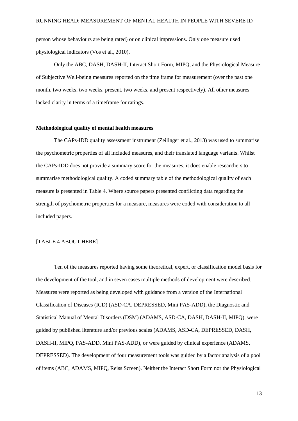person whose behaviours are being rated) or on clinical impressions. Only one measure used physiological indicators (Vos et al., 2010).

Only the ABC, DASH, DASH-II, Interact Short Form, MIPQ, and the Physiological Measure of Subjective Well-being measures reported on the time frame for measurement (over the past one month, two weeks, two weeks, present, two weeks, and present respectively). All other measures lacked clarity in terms of a timeframe for ratings.

#### **Methodological quality of mental health measures**

The CAPs-IDD quality assessment instrument (Zeilinger et al., 2013) was used to summarise the psychometric properties of all included measures, and their translated language variants. Whilst the CAPs-IDD does not provide a summary score for the measures, it does enable researchers to summarise methodological quality. A coded summary table of the methodological quality of each measure is presented in Table 4. Where source papers presented conflicting data regarding the strength of psychometric properties for a measure, measures were coded with consideration to all included papers.

#### [TABLE 4 ABOUT HERE]

Ten of the measures reported having some theoretical, expert, or classification model basis for the development of the tool, and in seven cases multiple methods of development were described. Measures were reported as being developed with guidance from a version of the International Classification of Diseases (ICD) (ASD-CA, DEPRESSED, Mini PAS-ADD), the Diagnostic and Statistical Manual of Mental Disorders (DSM) (ADAMS, ASD-CA, DASH, DASH-II, MIPQ), were guided by published literature and/or previous scales (ADAMS, ASD-CA, DEPRESSED, DASH, DASH-II, MIPQ, PAS-ADD, Mini PAS-ADD), or were guided by clinical experience (ADAMS, DEPRESSED). The development of four measurement tools was guided by a factor analysis of a pool of items (ABC, ADAMS, MIPQ, Reiss Screen). Neither the Interact Short Form nor the Physiological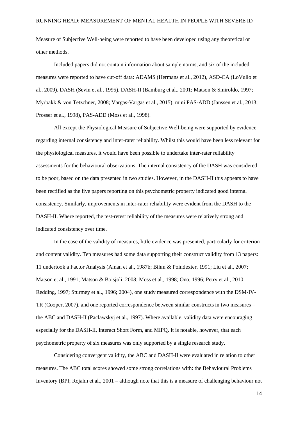Measure of Subjective Well-being were reported to have been developed using any theoretical or other methods.

Included papers did not contain information about sample norms, and six of the included measures were reported to have cut-off data: ADAMS (Hermans et al., 2012), ASD-CA (LoVullo et al., 2009), DASH (Sevin et al., 1995), DASH-II (Bamburg et al., 2001; Matson & Smiroldo, 1997; Myrbakk & von Tetzchner, 2008; Vargas-Vargas et al., 2015), mini PAS-ADD (Janssen et al., 2013; Prosser et al., 1998), PAS-ADD (Moss et al., 1998).

All except the Physiological Measure of Subjective Well-being were supported by evidence regarding internal consistency and inter-rater reliability. Whilst this would have been less relevant for the physiological measures, it would have been possible to undertake inter-rater reliability assessments for the behavioural observations. The internal consistency of the DASH was considered to be poor, based on the data presented in two studies. However, in the DASH-II this appears to have been rectified as the five papers reporting on this psychometric property indicated good internal consistency. Similarly, improvements in inter-rater reliability were evident from the DASH to the DASH-II. Where reported, the test-retest reliability of the measures were relatively strong and indicated consistency over time.

In the case of the validity of measures, little evidence was presented, particularly for criterion and content validity. Ten measures had some data supporting their construct validity from 13 papers: 11 undertook a Factor Analysis (Aman et al., 1987b; Bihm & Poindexter, 1991; Liu et al., 2007; Matson et al., 1991; Matson & Boisjoli, 2008; Moss et al., 1998; Ono, 1996; Petry et al., 2010; Redding, 1997; Sturmey et al., 1996; 2004), one study measured correspondence with the DSM-IV-TR (Cooper, 2007), and one reported correspondence between similar constructs in two measures – the ABC and DASH-II (Paclawskyj et al., 1997). Where available, validity data were encouraging especially for the DASH-II, Interact Short Form, and MIPQ. It is notable, however, that each psychometric property of six measures was only supported by a single research study.

Considering convergent validity, the ABC and DASH-II were evaluated in relation to other measures. The ABC total scores showed some strong correlations with: the Behavioural Problems Inventory (BPI; Rojahn et al., 2001 – although note that this is a measure of challenging behaviour not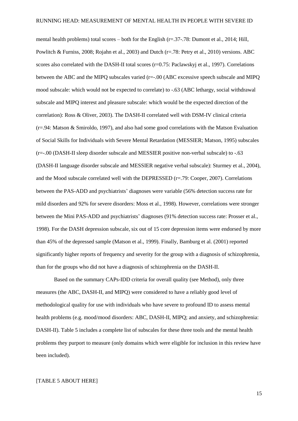mental health problems) total scores – both for the English (r=.37-.78: Dumont et al., 2014; Hill, Powlitch & Furniss, 2008; Rojahn et al., 2003) and Dutch (r=.78: Petry et al., 2010) versions. ABC scores also correlated with the DASH-II total scores (r=0.75: Paclawskyj et al., 1997). Correlations between the ABC and the MIPQ subscales varied (r=-.00 (ABC excessive speech subscale and MIPQ mood subscale: which would not be expected to correlate) to -.63 (ABC lethargy, social withdrawal subscale and MIPQ interest and pleasure subscale: which would be the expected direction of the correlation): Ross & Oliver, 2003). The DASH-II correlated well with DSM-IV clinical criteria (r=.94: Matson & Smiroldo, 1997), and also had some good correlations with the Matson Evaluation of Social Skills for Individuals with Severe Mental Retardation (MESSIER; Matson, 1995) subscales (r=-.00 (DASH-II sleep disorder subscale and MESSIER positive non-verbal subscale) to -.63 (DASH-II language disorder subscale and MESSIER negative verbal subscale): Sturmey et al., 2004), and the Mood subscale correlated well with the DEPRESSED (r=.79: Cooper, 2007). Correlations between the PAS-ADD and psychiatrists' diagnoses were variable (56% detection success rate for mild disorders and 92% for severe disorders: Moss et al., 1998). However, correlations were stronger between the Mini PAS-ADD and psychiatrists' diagnoses (91% detection success rate: Prosser et al., 1998). For the DASH depression subscale, six out of 15 core depression items were endorsed by more than 45% of the depressed sample (Matson et al., 1999). Finally, Bamburg et al. (2001) reported significantly higher reports of frequency and severity for the group with a diagnosis of schizophrenia, than for the groups who did not have a diagnosis of schizophrenia on the DASH-II.

Based on the summary CAPs-IDD criteria for overall quality (see Method), only three measures (the ABC, DASH-II, and MIPQ) were considered to have a reliably good level of methodological quality for use with individuals who have severe to profound ID to assess mental health problems (e.g. mood/mood disorders: ABC, DASH-II, MIPO; and anxiety, and schizophrenia: DASH-II). Table 5 includes a complete list of subscales for these three tools and the mental health problems they purport to measure (only domains which were eligible for inclusion in this review have been included).

#### [TABLE 5 ABOUT HERE]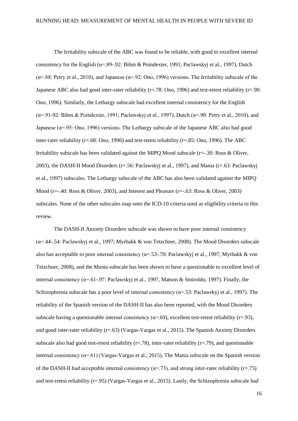The Irritability subscale of the ABC was found to be reliable, with good to excellent internal consistency for the English ( $\alpha$ =.89-.92: Bihm & Poindexter, 1991; Paclawskyj et al., 1997), Dutch ( $\alpha$ =.88: Petry et al., 2010), and Japanese ( $\alpha$ =.92: Ono, 1996) versions. The Irritability subscale of the Japanese ABC also had good inter-rater reliability ( $r=78$ : Ono, 1996) and test-retest reliability ( $r=90$ : Ono, 1996). Similarly, the Lethargy subscale had excellent internal consistency for the English ( $\alpha$ =.91-92: Bihm & Poindexter, 1991; Paclawskyj et al., 1997), Dutch ( $\alpha$ =.90: Petry et al., 2010), and Japanese ( $\alpha$ =.95: Ono, 1996) versions. The Lethargy subscale of the Japanese ABC also had good inter-rater reliability (r=.68: Ono, 1996) and test-retest reliability (r=.85: Ono, 1996). The ABC Irritability subscale has been validated against the MIPO Mood subscale  $(r=-.30; Ros & Oliver,$ 2003), the DASH-II Mood Disorders (r=.56: Paclawskyj et al., 1997), and Mania (r=.63: Paclawskyj et al., 1997) subscales. The Lethargy subscale of the ABC has also been validated against the MIPQ Mood ( $r=-.40$ : Ross & Oliver, 2003), and Interest and Pleasure ( $r=-.63$ : Ross & Oliver, 2003) subscales. None of the other subscales map onto the ICD-10 criteria used as eligibility criteria in this review.

The DASH-II Anxiety Disorders subscale was shown to have poor internal consistency (α=.44-.54: Paclawskyj et al., 1997; Myrbakk & von Tetzchner, 2008). The Mood Disorders subscale also has acceptable to poor internal consistency ( $\alpha$ =.53-.70: Paclawskyj et al., 1997; Myrbakk & von Tetzchner, 2008), and the Mania subscale has been shown to have a questionable to excellent level of internal consistency ( $\alpha$ =.61-.97: Paclawskyj et al., 1997, Matson & Smiroldo, 1997). Finally, the Schizophrenia subscale has a poor level of internal consistency ( $\alpha$ =.53: Paclawskyj et al., 1997). The reliability of the Spanish version of the DASH-II has also been reported, with the Mood Disorders subscale having a questionable internal consistency ( $\alpha$ =.69), excellent test-retest reliability (r=.93), and good inter-rater reliability (r=.63) (Vargas-Vargas et al., 2015). The Spanish Anxiety Disorders subscale also had good test-retest reliability ( $r = .78$ ), inter-rater reliability ( $r = .79$ ), and questionable internal consistency  $(\alpha = .61)$  (Vargas-Vargas et al., 2015). The Mania subscale on the Spanish version of the DASH-II had acceptable internal consistency ( $\alpha$ =.73), and strong inter-rater reliability (r=.75) and test-retest reliability (r=.95) (Vargas-Vargas et al., 2015). Lastly, the Schizophrenia subscale had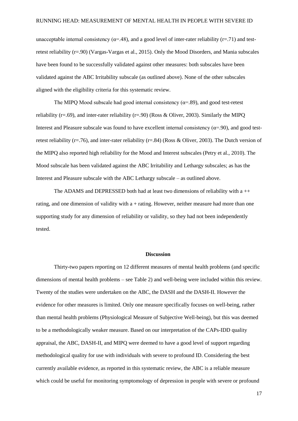unacceptable internal consistency ( $\alpha$ =.48), and a good level of inter-rater reliability ( $r$ =.71) and testretest reliability (r=.90) (Vargas-Vargas et al., 2015). Only the Mood Disorders, and Mania subscales have been found to be successfully validated against other measures: both subscales have been validated against the ABC Irritability subscale (as outlined above). None of the other subscales aligned with the eligibility criteria for this systematic review.

The MIPO Mood subscale had good internal consistency  $(\alpha = 89)$ , and good test-retest reliability (r=.69), and inter-rater reliability (r=.90) (Ross & Oliver, 2003). Similarly the MIPQ Interest and Pleasure subscale was found to have excellent internal consistency ( $\alpha$ =.90), and good testretest reliability (r=.76), and inter-rater reliability (r=.84) (Ross & Oliver, 2003). The Dutch version of the MIPQ also reported high reliability for the Mood and Interest subscales (Petry et al., 2010). The Mood subscale has been validated against the ABC Irritability and Lethargy subscales; as has the Interest and Pleasure subscale with the ABC Lethargy subscale – as outlined above.

The ADAMS and DEPRESSED both had at least two dimensions of reliability with  $a + +$ rating, and one dimension of validity with a + rating. However, neither measure had more than one supporting study for any dimension of reliability or validity, so they had not been independently tested.

#### **Discussion**

Thirty-two papers reporting on 12 different measures of mental health problems (and specific dimensions of mental health problems – see Table 2) and well-being were included within this review. Twenty of the studies were undertaken on the ABC, the DASH and the DASH-II. However the evidence for other measures is limited. Only one measure specifically focuses on well-being, rather than mental health problems (Physiological Measure of Subjective Well-being), but this was deemed to be a methodologically weaker measure. Based on our interpretation of the CAPs-IDD quality appraisal, the ABC, DASH-II, and MIPQ were deemed to have a good level of support regarding methodological quality for use with individuals with severe to profound ID. Considering the best currently available evidence, as reported in this systematic review, the ABC is a reliable measure which could be useful for monitoring symptomology of depression in people with severe or profound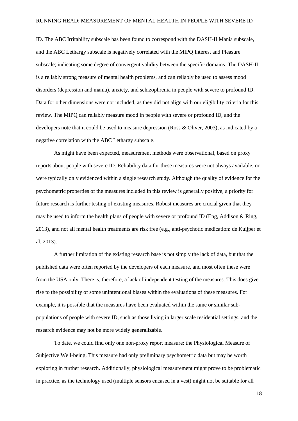ID. The ABC Irritability subscale has been found to correspond with the DASH-II Mania subscale, and the ABC Lethargy subscale is negatively correlated with the MIPQ Interest and Pleasure subscale; indicating some degree of convergent validity between the specific domains. The DASH-II is a reliably strong measure of mental health problems, and can reliably be used to assess mood disorders (depression and mania), anxiety, and schizophrenia in people with severe to profound ID. Data for other dimensions were not included, as they did not align with our eligibility criteria for this review. The MIPQ can reliably measure mood in people with severe or profound ID, and the developers note that it could be used to measure depression (Ross & Oliver, 2003), as indicated by a negative correlation with the ABC Lethargy subscale.

As might have been expected, measurement methods were observational, based on proxy reports about people with severe ID. Reliability data for these measures were not always available, or were typically only evidenced within a single research study. Although the quality of evidence for the psychometric properties of the measures included in this review is generally positive, a priority for future research is further testing of existing measures. Robust measures are crucial given that they may be used to inform the health plans of people with severe or profound ID (Eng, Addison & Ring, 2013), and not all mental health treatments are risk free (e.g., anti-psychotic medication: de Kuijper et al, 2013).

A further limitation of the existing research base is not simply the lack of data, but that the published data were often reported by the developers of each measure, and most often these were from the USA only. There is, therefore, a lack of independent testing of the measures. This does give rise to the possibility of some unintentional biases within the evaluations of these measures. For example, it is possible that the measures have been evaluated within the same or similar subpopulations of people with severe ID, such as those living in larger scale residential settings, and the research evidence may not be more widely generalizable.

To date, we could find only one non-proxy report measure: the Physiological Measure of Subjective Well-being. This measure had only preliminary psychometric data but may be worth exploring in further research. Additionally, physiological measurement might prove to be problematic in practice, as the technology used (multiple sensors encased in a vest) might not be suitable for all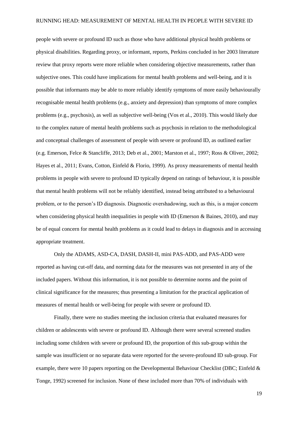people with severe or profound ID such as those who have additional physical health problems or physical disabilities. Regarding proxy, or informant, reports, Perkins concluded in her 2003 literature review that proxy reports were more reliable when considering objective measurements, rather than subjective ones. This could have implications for mental health problems and well-being, and it is possible that informants may be able to more reliably identify symptoms of more easily behaviourally recognisable mental health problems (e.g., anxiety and depression) than symptoms of more complex problems (e.g., psychosis), as well as subjective well-being (Vos et al., 2010). This would likely due to the complex nature of mental health problems such as psychosis in relation to the methodological and conceptual challenges of assessment of people with severe or profound ID, as outlined earlier (e.g. Emerson, Felce & Stancliffe, 2013; Deb et al., 2001; Marston et al., 1997; Ross & Oliver, 2002; Hayes et al., 2011; Evans, Cotton, Einfeld & Florio, 1999). As proxy measurements of mental health problems in people with severe to profound ID typically depend on ratings of behaviour, it is possible that mental health problems will not be reliably identified, instead being attributed to a behavioural problem, or to the person's ID diagnosis. Diagnostic overshadowing, such as this, is a major concern when considering physical health inequalities in people with ID (Emerson  $\&$  Baines, 2010), and may be of equal concern for mental health problems as it could lead to delays in diagnosis and in accessing appropriate treatment.

Only the ADAMS, ASD-CA, DASH, DASH-II, mini PAS-ADD, and PAS-ADD were reported as having cut-off data, and norming data for the measures was not presented in any of the included papers. Without this information, it is not possible to determine norms and the point of clinical significance for the measures; thus presenting a limitation for the practical application of measures of mental health or well-being for people with severe or profound ID.

Finally, there were no studies meeting the inclusion criteria that evaluated measures for children or adolescents with severe or profound ID. Although there were several screened studies including some children with severe or profound ID, the proportion of this sub-group within the sample was insufficient or no separate data were reported for the severe-profound ID sub-group. For example, there were 10 papers reporting on the Developmental Behaviour Checklist (DBC; Einfeld & Tonge, 1992) screened for inclusion. None of these included more than 70% of individuals with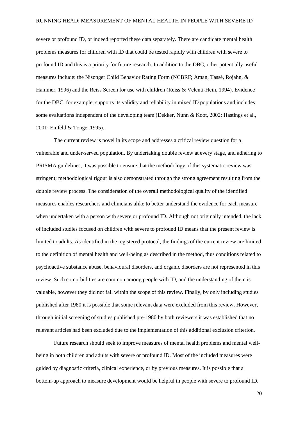severe or profound ID, or indeed reported these data separately. There are candidate mental health problems measures for children with ID that could be tested rapidly with children with severe to profound ID and this is a priority for future research. In addition to the DBC, other potentially useful measures include: the Nisonger Child Behavior Rating Form (NCBRF; Aman, Tassé, Rojahn, & Hammer, 1996) and the Reiss Screen for use with children (Reiss & Velenti-Hein, 1994). Evidence for the DBC, for example, supports its validity and reliability in mixed ID populations and includes some evaluations independent of the developing team (Dekker, Nunn & Koot, 2002; Hastings et al., 2001; Einfeld & Tonge, 1995).

The current review is novel in its scope and addresses a critical review question for a vulnerable and under-served population. By undertaking double review at every stage, and adhering to PRISMA guidelines, it was possible to ensure that the methodology of this systematic review was stringent; methodological rigour is also demonstrated through the strong agreement resulting from the double review process. The consideration of the overall methodological quality of the identified measures enables researchers and clinicians alike to better understand the evidence for each measure when undertaken with a person with severe or profound ID. Although not originally intended, the lack of included studies focused on children with severe to profound ID means that the present review is limited to adults. As identified in the registered protocol, the findings of the current review are limited to the definition of mental health and well-being as described in the method, thus conditions related to psychoactive substance abuse, behavioural disorders, and organic disorders are not represented in this review. Such comorbidities are common among people with ID, and the understanding of them is valuable, however they did not fall within the scope of this review. Finally, by only including studies published after 1980 it is possible that some relevant data were excluded from this review. However, through initial screening of studies published pre-1980 by both reviewers it was established that no relevant articles had been excluded due to the implementation of this additional exclusion criterion.

Future research should seek to improve measures of mental health problems and mental wellbeing in both children and adults with severe or profound ID. Most of the included measures were guided by diagnostic criteria, clinical experience, or by previous measures. It is possible that a bottom-up approach to measure development would be helpful in people with severe to profound ID.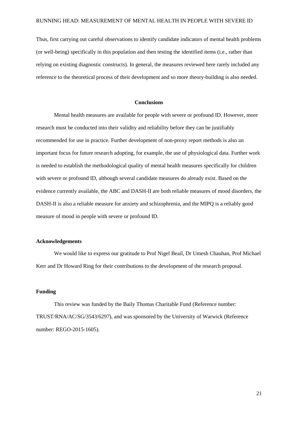Thus, first carrying out careful observations to identify candidate indicators of mental health problems (or well-being) specifically in this population and then testing the identified items (i.e., rather than relying on existing diagnostic constructs). In general, the measures reviewed here rarely included any reference to the theoretical process of their development and so more theory-building is also needed.

#### **Conclusions**

Mental health measures are available for people with severe or profound ID. However, more research must be conducted into their validity and reliability before they can be justifiably recommended for use in practice. Further development of non-proxy report methods is also an important focus for future research adopting, for example, the use of physiological data. Further work is needed to establish the methodological quality of mental health measures specifically for children with severe or profound ID, although several candidate measures do already exist. Based on the evidence currently available, the ABC and DASH-II are both reliable measures of mood disorders, the DASH-II is also a reliable measure for anxiety and schizophrenia, and the MIPQ is a reliably good measure of mood in people with severe or profound ID.

#### **Acknowledgements**

We would like to express our gratitude to Prof Nigel Beail, Dr Umesh Chauhan, Prof Michael Kerr and Dr Howard Ring for their contributions to the development of the research proposal.

#### **Funding**

This review was funded by the Baily Thomas Charitable Fund (Reference number: TRUST/RNA/AC/SG/3543/6297), and was sponsored by the University of Warwick (Reference number: REGO-2015-1605).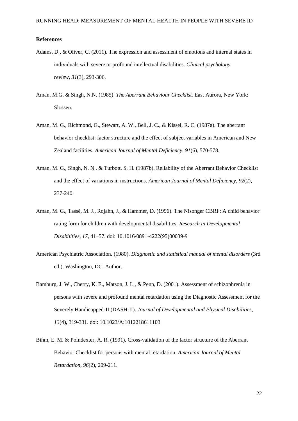#### **References**

- Adams, D., & Oliver, C. (2011). The expression and assessment of emotions and internal states in individuals with severe or profound intellectual disabilities. *Clinical psychology review*, *31*(3), 293-306.
- Aman, M.G. & Singh, N.N. (1985). *The Aberrant Behaviour Checklist.* East Aurora, New York: Slossen.
- Aman, M. G., Richmond, G., Stewart, A. W., Bell, J. C., & Kissel, R. C. (1987a). The aberrant behavior checklist: factor structure and the effect of subject variables in American and New Zealand facilities. *American Journal of Mental Deficiency, 91*(6), 570-578.
- Aman, M. G., Singh, N. N., & Turbott, S. H. (1987b). Reliability of the Aberrant Behavior Checklist and the effect of variations in instructions. *American Journal of Mental Deficiency*, *92*(2), 237-240.
- Aman, M. G., Tassé, M. J., Rojahn, J., & Hammer, D. (1996). The Nisonger CBRF: A child behavior rating form for children with developmental disabilities. *Research in Developmental Disabilities, 17*, 41–57. doi: 10.1016/0891-4222(95)00039-9
- American Psychiatric Association. (1980). *Diagnostic and statistical manual of mental disorders* (3rd ed.). Washington, DC: Author.
- Bamburg, J. W., Cherry, K. E., Matson, J. L., & Penn, D. (2001). Assessment of schizophrenia in persons with severe and profound mental retardation using the Diagnostic Assessment for the Severely Handicapped-II (DASH-II). *Journal of Developmental and Physical Disabilities*, *13*(4), 319-331. doi: 10.1023/A:1012218611103
- Bihm, E. M. & Poindexter, A. R. (1991). Cross-validation of the factor structure of the Aberrant Behavior Checklist for persons with mental retardation. *American Journal of Mental Retardation, 96*(2), 209-211.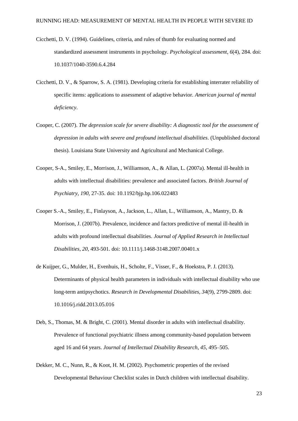- Cicchetti, D. V. (1994). Guidelines, criteria, and rules of thumb for evaluating normed and standardized assessment instruments in psychology. *Psychological assessment*, *6*(4), 284. doi: 10.1037/1040-3590.6.4.284
- Cicchetti, D. V., & Sparrow, S. A. (1981). Developing criteria for establishing interrater reliability of specific items: applications to assessment of adaptive behavior. *American journal of mental deficiency*.
- Cooper, C. (2007). *The depression scale for severe disability: A diagnostic tool for the assessment of depression in adults with severe and profound intellectual disabilities*. (Unpublished doctoral thesis). Louisiana State University and Agricultural and Mechanical College.
- Cooper, S-A., Smiley, E., Morrison, J., Williamson, A., & Allan, L. (2007a). Mental ill-health in adults with intellectual disabilities: prevalence and associated factors. *British Journal of Psychiatry*, *190*, 27-35. doi: 10.1192/bjp.bp.106.022483
- Cooper S.-A., Smiley, E., Finlayson, A., Jackson, L., Allan, L., Williamson, A., Mantry, D. & Morrison, J. (2007b). Prevalence, incidence and factors predictive of mental ill-health in adults with profound intellectual disabilities. *Journal of Applied Research in Intellectual Disabilities, 20*, 493-501. doi: 10.1111/j.1468-3148.2007.00401.x
- de Kuijper, G., Mulder, H., Evenhuis, H., Scholte, F., Visser, F., & Hoekstra, P. J. (2013). Determinants of physical health parameters in individuals with intellectual disability who use long-term antipsychotics. *Research in Developmental Disabilities*, *34*(9), 2799-2809. doi: 10.1016/j.ridd.2013.05.016
- Deb, S., Thomas, M. & Bright, C. (2001). Mental disorder in adults with intellectual disability. Prevalence of functional psychiatric illness among community-based population between aged 16 and 64 years. *Journal of Intellectual Disability Research*, *45*, 495–505.
- Dekker, M. C., Nunn, R., & Koot, H. M. (2002). Psychometric properties of the revised Developmental Behaviour Checklist scales in Dutch children with intellectual disability.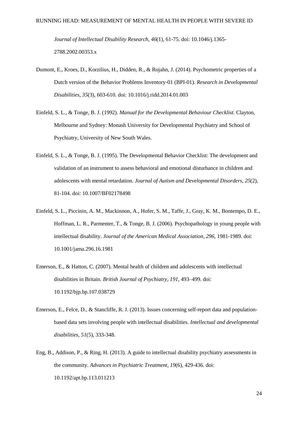*Journal of Intellectual Disability Research*, *46*(1), 61-75. doi: 10.1046/j.1365- 2788.2002.00353.x

- Dumont, E., Kroes, D., Korzilius, H., Didden, R., & Rojahn, J. (2014). Psychometric properties of a Dutch version of the Behavior Problems Inventory-01 (BPI-01). *Research in Developmental Disabilities*, *35*(3), 603-610. doi: 10.1016/j.ridd.2014.01.003
- Einfeld, S. L., & Tonge, B. J. (1992). *Manual for the Developmental Behaviour Checklist.* Clayton, Melbourne and Sydney: Monash University for Developmental Psychiatry and School of Psychiatry, University of New South Wales.
- Einfeld, S. L., & Tonge, B. J. (1995). The Developmental Behavior Checklist: The development and validation of an instrument to assess behavioral and emotional disturbance in children and adolescents with mental retardation. *Journal of Autism and Developmental Disorders*, *25*(2), 81-104. doi: 10.1007/BF02178498
- Einfeld, S. L., Piccinin, A. M., Mackinnon, A., Hofer, S. M., Taffe, J., Gray, K. M., Bontempo, D. E., Hoffman, L. R., Parmenter, T., & Tonge, B. J. (2006). Psychopathology in young people with intellectual disability. *Journal of the American Medical Association*, *296*, 1981-1989. doi: 10.1001/jama.296.16.1981
- Emerson, E., & Hatton, C. (2007). Mental health of children and adolescents with intellectual disabilities in Britain. *British Journal of Psychiatry, 191,* 493–499. doi: 10.1192/bjp.bp.107.038729
- Emerson, E., Felce, D., & Stancliffe, R. J. (2013). Issues concerning self-report data and populationbased data sets involving people with intellectual disabilities. *Intellectual and developmental disabilities*, *51*(5), 333-348.
- Eng, B., Addison, P., & Ring, H. (2013). A guide to intellectual disability psychiatry assessments in the community. *Advances in Psychiatric Treatment*, *19*(6), 429-436. doi: 10.1192/apt.bp.113.011213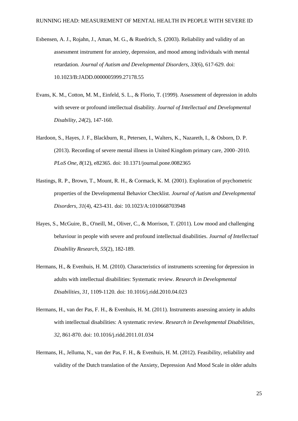- Esbensen, A. J., Rojahn, J., Aman, M. G., & Ruedrich, S. (2003). Reliability and validity of an assessment instrument for anxiety, depression, and mood among individuals with mental retardation. *Journal of Autism and Developmental Disorders*, *33*(6), 617-629. doi: 10.1023/B:JADD.0000005999.27178.55
- Evans, K. M., Cotton, M. M., Einfeld, S. L., & Florio, T. (1999). Assessment of depression in adults with severe or profound intellectual disability. *Journal of Intellectual and Developmental Disability*, *24*(2), 147-160.
- Hardoon, S., Hayes, J. F., Blackburn, R., Petersen, I., Walters, K., Nazareth, I., & Osborn, D. P. (2013). Recording of severe mental illness in United Kingdom primary care, 2000–2010. *PLoS One*, *8*(12), e82365. doi: 10.1371/journal.pone.0082365
- Hastings, R. P., Brown, T., Mount, R. H., & Cormack, K. M. (2001). Exploration of psychometric properties of the Developmental Behavior Checklist. *Journal of Autism and Developmental Disorders*, *31*(4), 423-431. doi: 10.1023/A:1010668703948
- Hayes, S., McGuire, B., O'neill, M., Oliver, C., & Morrison, T. (2011). Low mood and challenging behaviour in people with severe and profound intellectual disabilities. *Journal of Intellectual Disability Research*, *55*(2), 182-189.
- Hermans, H., & Evenhuis, H. M. (2010). Characteristics of instruments screening for depression in adults with intellectual disabilities: Systematic review. *Research in Developmental Disabilities*, *31,* 1109-1120. doi: 10.1016/j.ridd.2010.04.023
- Hermans, H., van der Pas, F. H., & Evenhuis, H. M. (2011). Instruments assessing anxiety in adults with intellectual disabilities: A systematic review. *Research in Developmental Disabilities*, *32*, 861-870. doi: 10.1016/j.ridd.2011.01.034
- Hermans, H., Jelluma, N., van der Pas, F. H., & Evenhuis, H. M. (2012). Feasibility, reliability and validity of the Dutch translation of the Anxiety, Depression And Mood Scale in older adults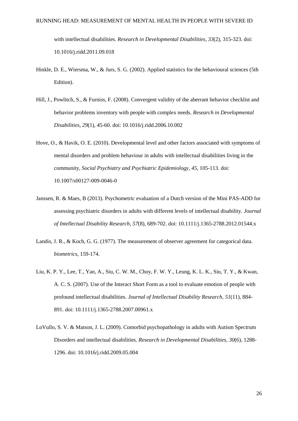with intellectual disabilities. *Research in Developmental Disabilities*, *33*(2), 315-323. doi: 10.1016/j.ridd.2011.09.018

- Hinkle, D. E., Wiersma, W., & Jurs, S. G. (2002). Applied statistics for the behavioural sciences (5th Edition).
- Hill, J., Powlitch, S., & Furniss, F. (2008). Convergent validity of the aberrant behavior checklist and behavior problems inventory with people with complex needs. *Research in Developmental Disabilities*, *29*(1), 45-60. doi: 10.1016/j.ridd.2006.10.002
- Hove, O., & Havik, O. E. (2010). Developmental level and other factors associated with symptoms of mental disorders and problem behaviour in adults with intellectual disabilities living in the community, *Social Psychiatry and Psychiatric Epidemiology*, *45*, 105-113. doi: 10.1007/s00127-009-0046-0
- Janssen, R. & Maes, B (2013). Psychometric evaluation of a Dutch version of the Mini PAS-ADD for assessing psychiatric disorders in adults with different levels of intellectual disability. *Journal of Intellectual Disability Research*, *57*(8), 689-702. doi: 10.1111/j.1365-2788.2012.01544.x
- Landis, J. R., & Koch, G. G. (1977). The measurement of observer agreement for categorical data. *biometrics*, 159-174.
- Liu, K. P. Y., Lee, T., Yan, A., Siu, C. W. M., Choy, F. W. Y., Leung, K. L. K., Siu, T. Y., & Kwan, A. C. S. (2007). Use of the Interact Short Form as a tool to evaluate emotion of people with profound intellectual disabilities. *Journal of Intellectual Disability Research*, *51*(11), 884- 891. doi: 10.1111/j.1365-2788.2007.00961.x
- LoVullo, S. V. & Matson, J. L. (2009). Comorbid psychopathology in adults with Autism Spectrum Disorders and intellectual disabilities. *Research in Developmental Disabilities, 30*(6), 1288- 1296. doi: 10.1016/j.ridd.2009.05.004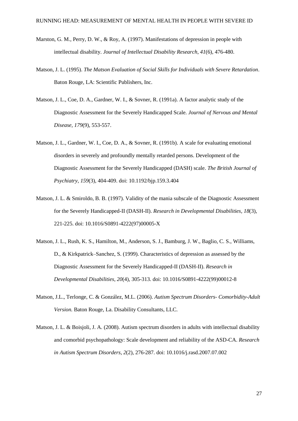- Marston, G. M., Perry, D. W., & Roy, A. (1997). Manifestations of depression in people with intellectual disability. *Journal of Intellectual Disability Research*, *41*(6), 476-480.
- Matson, J. L. (1995). *The Matson Evaluation of Social Skills for Individuals with Severe Retardation*. Baton Rouge, LA: Scientific Publishers, Inc.
- Matson, J. L., Coe, D. A., Gardner, W. I., & Sovner, R. (1991a). A factor analytic study of the Diagnostic Assessment for the Severely Handicapped Scale. *Journal of Nervous and Mental Disease, 179*(9), 553-557.
- Matson, J. L., Gardner, W. I., Coe, D. A., & Sovner, R. (1991b). A scale for evaluating emotional disorders in severely and profoundly mentally retarded persons. Development of the Diagnostic Assessment for the Severely Handicapped (DASH) scale. *The British Journal of Psychiatry*, *159*(3), 404-409. doi: 10.1192/bjp.159.3.404
- Matson, J. L. & Smiroldo, B. B. (1997). Validity of the mania subscale of the Diagnostic Assessment for the Severely Handicapped-II (DASH-II). *Research in Developmental Disabilities, 18*(3), 221-225. doi: 10.1016/S0891-4222(97)00005-X
- Matson, J. L., Rush, K. S., Hamilton, M., Anderson, S. J., Bamburg, J. W., Baglio, C. S., Williams, D., & Kirkpatrick–Sanchez, S. (1999). Characteristics of depression as assessed by the Diagnostic Assessment for the Severely Handicapped-II (DASH-II). *Research in Developmental Disabilities*, *20*(4), 305-313. doi: 10.1016/S0891-4222(99)00012-8
- Matson, J.L., Terlonge, C. & González, M.L. (2006). *Autism Spectrum Disorders- Comorbidity-Adult Version.* Baton Rouge, La. Disability Consultants, LLC.
- Matson, J. L. & Boisjoli, J. A. (2008). Autism spectrum disorders in adults with intellectual disability and comorbid psychopathology: Scale development and reliability of the ASD-CA. *Research in Autism Spectrum Disorders, 2*(2), 276-287. doi: 10.1016/j.rasd.2007.07.002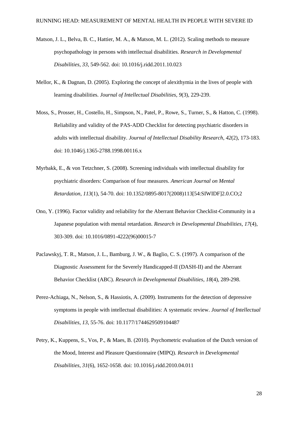- Matson, J. L., Belva, B. C., Hattier, M. A., & Matson, M. L. (2012). Scaling methods to measure psychopathology in persons with intellectual disabilities. *Research in Developmental Disabilities*, *33*, 549-562. doi: 10.1016/j.ridd.2011.10.023
- Mellor, K., & Dagnan, D. (2005). Exploring the concept of alexithymia in the lives of people with learning disabilities. *Journal of Intellectual Disabilities*, *9*(3), 229-239.
- Moss, S., Prosser, H., Costello, H., Simpson, N., Patel, P., Rowe, S., Turner, S., & Hatton, C. (1998). Reliability and validity of the PAS‐ADD Checklist for detecting psychiatric disorders in adults with intellectual disability. *Journal of Intellectual Disability Research*, *42*(2), 173-183. doi: 10.1046/j.1365-2788.1998.00116.x
- Myrbakk, E., & von Tetzchner, S. (2008). Screening individuals with intellectual disability for psychiatric disorders: Comparison of four measures. *American Journal on Mental Retardation*, *113*(1), 54-70. doi: 10.1352/0895-8017(2008)113[54:SIWIDF]2.0.CO;2
- Ono, Y. (1996). Factor validity and reliability for the Aberrant Behavior Checklist-Community in a Japanese population with mental retardation. *Research in Developmental Disabilities, 17*(4), 303-309. doi: 10.1016/0891-4222(96)00015-7
- Paclawskyj, T. R., Matson, J. L., Bamburg, J. W., & Baglio, C. S. (1997). A comparison of the Diagnostic Assessment for the Severely Handicapped-II (DASH-II) and the Aberrant Behavior Checklist (ABC). *Research in Developmental Disabilities*, *18*(4), 289-298.
- Perez-Achiaga, N., Nelson, S., & Hassiotis, A. (2009). Instruments for the detection of depressive symptoms in people with intellectual disabilities: A systematic review. *Journal of Intellectual Disabilities*, *13*, 55-76. doi: 10.1177/1744629509104487
- Petry, K., Kuppens, S., Vos, P., & Maes, B. (2010). Psychometric evaluation of the Dutch version of the Mood, Interest and Pleasure Questionnaire (MIPQ). *Research in Developmental Disabilities*, *31*(6), 1652-1658. doi: 10.1016/j.ridd.2010.04.011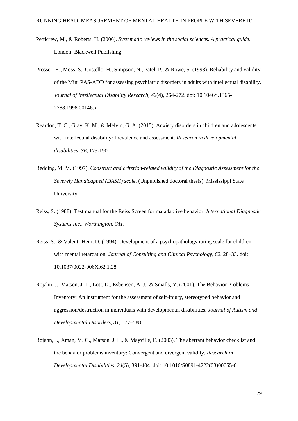- Petticrew, M., & Roberts, H. (2006). *Systematic reviews in the social sciences. A practical guide*. London: Blackwell Publishing.
- Prosser, H., Moss, S., Costello, H., Simpson, N., Patel, P., & Rowe, S. (1998). Reliability and validity of the Mini PAS‐ADD for assessing psychiatric disorders in adults with intellectual disability. *Journal of Intellectual Disability Research*, *42*(4), 264-272. doi: 10.1046/j.1365- 2788.1998.00146.x
- Reardon, T. C., Gray, K. M., & Melvin, G. A. (2015). Anxiety disorders in children and adolescents with intellectual disability: Prevalence and assessment. *Research in developmental disabilities*, *36*, 175-190.
- Redding, M. M. (1997). *Construct and criterion-related validity of the Diagnostic Assessment for the Severely Handicapped (DASH) scale.* (Unpublished doctoral thesis). Mississippi State University.
- Reiss, S. (1988). Test manual for the Reiss Screen for maladaptive behavior. *International Diagnostic Systems Inc., Worthington, OH*.
- Reiss, S., & Valenti-Hein, D. (1994). Development of a psychopathology rating scale for children with mental retardation. *Journal of Consulting and Clinical Psychology, 62*, 28–33. doi: 10.1037/0022-006X.62.1.28
- Rojahn, J., Matson, J. L., Lott, D., Esbensen, A. J., & Smalls, Y. (2001). The Behavior Problems Inventory: An instrument for the assessment of self-injury, stereotyped behavior and aggression/destruction in individuals with developmental disabilities. *Journal of Autism and Developmental Disorders, 31,* 577–588.
- Rojahn, J., Aman, M. G., Matson, J. L., & Mayville, E. (2003). The aberrant behavior checklist and the behavior problems inventory: Convergent and divergent validity. *Research in Developmental Disabilities*, *24*(5), 391-404. doi: 10.1016/S0891-4222(03)00055-6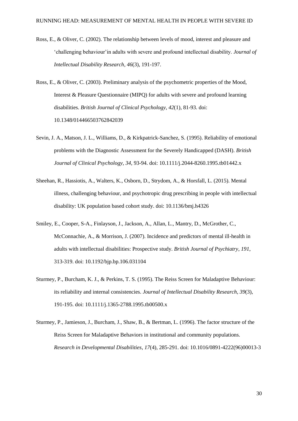- Ross, E., & Oliver, C. (2002). The relationship between levels of mood, interest and pleasure and 'challenging behaviour'in adults with severe and profound intellectual disability. *Journal of Intellectual Disability Research*, *46*(3), 191-197.
- Ross, E., & Oliver, C. (2003). Preliminary analysis of the psychometric properties of the Mood, Interest & Pleasure Questionnaire (MIPQ) for adults with severe and profound learning disabilities. *British Journal of Clinical Psychology*, *42*(1), 81-93. doi: 10.1348/014466503762842039
- Sevin, J. A., Matson, J. L., Williams, D., & Kirkpatrick-Sanchez, S. (1995). Reliability of emotional problems with the Diagnostic Assessment for the Severely Handicapped (DASH). *British Journal of Clinical Psychology, 34*, 93-94. doi: 10.1111/j.2044-8260.1995.tb01442.x
- Sheehan, R., Hassiotis, A., Walters, K., Osborn, D., Strydom, A., & Horsfall, L. (2015). Mental illness, challenging behaviour, and psychotropic drug prescribing in people with intellectual disability: UK population based cohort study. doi: 10.1136/bmj.h4326
- Smiley, E., Cooper, S-A., Finlayson, J., Jackson, A., Allan, L., Mantry, D., McGrother, C., McConnachie, A., & Morrison, J. (2007). Incidence and predictors of mental ill-health in adults with intellectual disabilities: Prospective study. *British Journal of Psychiatry*, *191*, 313-319. doi: 10.1192/bjp.bp.106.031104
- Sturmey, P., Burcham, K. J., & Perkins, T. S. (1995). The Reiss Screen for Maladaptive Behaviour: its reliability and internal consistencies. *Journal of Intellectual Disability Research*, *39*(3), 191-195. doi: 10.1111/j.1365-2788.1995.tb00500.x
- Sturmey, P., Jamieson, J., Burcham, J., Shaw, B., & Bertman, L. (1996). The factor structure of the Reiss Screen for Maladaptive Behaviors in institutional and community populations. *Research in Developmental Disabilities*, *17*(4), 285-291. doi: 10.1016/0891-4222(96)00013-3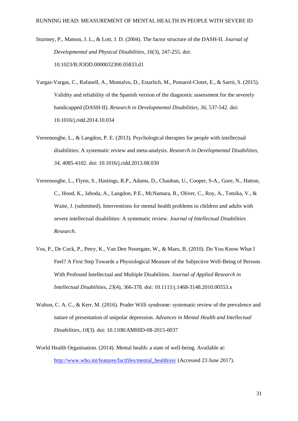- Sturmey, P., Matson, J. L., & Lott, J. D. (2004). The factor structure of the DASH-II. *Journal of Developmental and Physical Disabilities*, *16*(3), 247-255. doi: 10.1023/B:JODD.0000032300.05833.d1
- Vargas-Vargas, C., Rafanell, A., Montalvo, D., Estarlich, M., Pomarol-Clotet, E., & Sarró, S. (2015). Validity and reliability of the Spanish version of the diagnostic assessment for the severely handicapped (DASH-II). *Research in Developmental Disabilities*, *36*, 537-542. doi: 10.1016/j.ridd.2014.10.034
- Vereenooghe, L., & Langdon, P. E. (2013). Psychological therapies for people with intellectual disabilities: A systematic review and meta-analysis. *Research in Developmental Disabilities*, *34*, 4085-4102. doi: 10.1016/j.ridd.2013.08.030
- Vereenooghe, L., Flynn, S., Hastings, R.P., Adams, D., Chauhan, U., Cooper, S-A., Gore, N., Hatton, C., Hood, K., Jahoda, A., Langdon, P.E., McNamara, R., Oliver, C., Roy, A., Totsika, V., & Waite, J. (submitted). Interventions for mental health problems in children and adults with severe intellectual disabilities: A systematic review. *Journal of Intellectual Disabilities Research.*
- Vos, P., De Cock, P., Petry, K., Van Den Noortgate, W., & Maes, B. (2010). Do You Know What I Feel? A First Step Towards a Physiological Measure of the Subjective Well-Being of Persons With Profound Intellectual and Multiple Disabilities. *Journal of Applied Research in Intellectual Disabilities*, *23*(4), 366-378. doi: 10.1111/j.1468-3148.2010.00553.x
- Walton, C. A. C., & Kerr, M. (2016). Prader Willi syndrome: systematic review of the prevalence and nature of presentation of unipolar depression. *Advances in Mental Health and Intellectual Disabilities*, *10*(3). doi: 10.1108/AMHID-08-2015-0037
- World Health Organisation. (2014). Mental health: a state of well-being. Available at: [http://www.who.int/features/factfiles/mental\\_health/en/](http://www.who.int/features/factfiles/mental_health/en/) (Accessed 23 June 2017).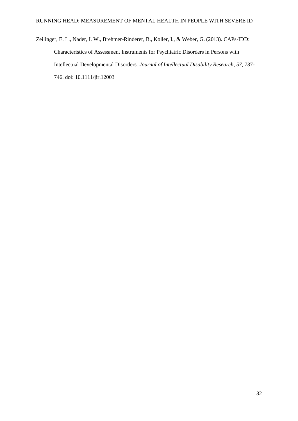Zeilinger, E. L., Nader, I. W., Brehmer-Rinderer, B., Koller, I., & Weber, G. (2013). CAPs-IDD: Characteristics of Assessment Instruments for Psychiatric Disorders in Persons with Intellectual Developmental Disorders. *Journal of Intellectual Disability Research*, *57*, 737- 746. doi: 10.1111/jir.12003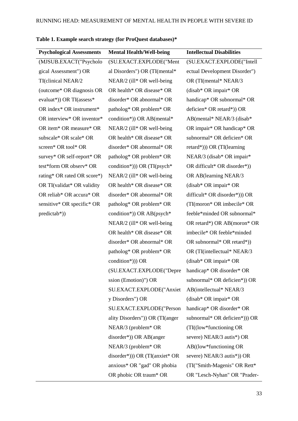| <b>Psychological Assessments</b> | <b>Mental Health/Well-being</b>                    | <b>Intellectual Disabilities</b> |
|----------------------------------|----------------------------------------------------|----------------------------------|
| (MJSUB.EXACT("Psycholo           | (SU.EXACT.EXPLODE("Ment                            | (SU.EXACT.EXPLODE("Intell        |
| gical Assessment") OR            | al Disorders") OR (TI(mental*                      | ectual Development Disorder")    |
| TI(clinical NEAR/2               | NEAR/2 (ill* OR well-being                         | OR (TI(mental* NEAR/3)           |
| (outcome* OR diagnosis OR        | OR health* OR disease* OR                          | $(disab* OR impair* OR)$         |
| evaluat*)) OR TI(assess*         | disorder* OR abnormal* OR                          | handicap* OR subnormal* OR       |
| OR index* OR instrument*         | patholog* OR problem* OR                           | deficien* OR retard*)) OR        |
| OR interview* OR inventor*       | condition*)) OR AB(mental*                         | AB(mental* NEAR/3 (disab*        |
| OR item* OR measure* OR          | $NEAR/2$ (ill* OR well-being                       | OR impair* OR handicap* OR       |
| subscale* OR scale* OR           | OR health* OR disease* OR                          | subnormal* OR deficien* OR       |
| screen* OR tool* OR              | disorder* OR abnormal* OR                          | retard*))) OR (TI(learning       |
| survey* OR self-report* OR       | patholog* OR problem* OR                           | NEAR/3 (disab* OR impair*        |
| test*form OR observ* OR          | condition*))) OR (TI(psych*                        | OR difficult* OR disorder*))     |
| rating* OR rated OR score*)      | $NEAR/2$ (ill* OR well-being                       | OR AB(learning NEAR/3            |
| OR TI(validat* OR validity       | OR health* OR disease* OR                          | (disab* OR impair* OR            |
| OR reliab* OR accura* OR         | disorder* OR abnormal* OR                          | difficult* OR disorder*))) OR    |
| sensitive* OR specific* OR       | patholog* OR problem* OR                           | (TI(moron* OR imbecile* OR       |
| $predictab*)$                    | condition*)) OR AB(psych*                          | feeble*minded OR subnormal*      |
|                                  | NEAR/2 (ill* OR well-being                         | OR retard*) OR AB(moron* OR      |
|                                  | OR health* OR disease* OR                          | imbecile* OR feeble*minded       |
|                                  | disorder* OR abnormal* OR                          | OR subnormal* OR retard*))       |
|                                  | patholog* OR problem* OR                           | OR (TI(intellectual* NEAR/3)     |
|                                  | condition*))) OR                                   | $(disab* OR impair* OR)$         |
|                                  | (SU.EXACT.EXPLODE("Depre handicap* OR disorder* OR |                                  |
|                                  | ssion (Emotion)") OR                               | subnormal* OR deficien*)) OR     |
|                                  | SU.EXACT.EXPLODE("Anxiet                           | AB(intellectual* NEAR/3          |
|                                  | y Disorders") OR                                   | $(disab* OR impair* OR)$         |
|                                  | SU.EXACT.EXPLODE("Person                           | handicap* OR disorder* OR        |
|                                  | ality Disorders")) OR (TI(anger                    | subnormal* OR deficien*))) OR    |
|                                  | $NEAR/3$ (problem* OR                              | (TI((low*functioning OR)         |
|                                  | $disorder*)$ ) OR AB(anger                         | severe) NEAR/3 autis*) OR        |
|                                  | NEAR/3 (problem* OR                                | $AB((low*functioning OR$         |
|                                  | $disorder^*))$ OR (TI(anxiet* OR                   | severe) NEAR/3 autis*)) OR       |
|                                  | anxious* OR "gad" OR phobia                        | (TI("Smith-Magenis" OR Rett*     |

OR phobic OR traum\* OR

# **Table 1. Example search strategy (for ProQuest databases)\***

OR "Lesch-Nyhan" OR "Prader-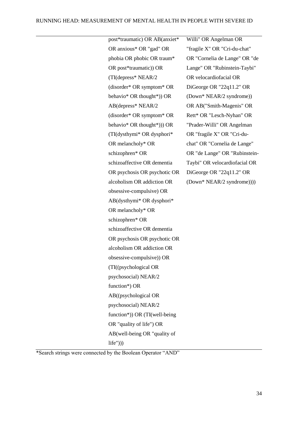| post*traumatic) OR AB(anxiet* | Willi" OR Angelman OR         |
|-------------------------------|-------------------------------|
| OR anxious* OR "gad" OR       | "fragile X" OR "Cri-du-chat"  |
| phobia OR phobic OR traum*    | OR "Cornelia de Lange" OR "de |
| OR post*traumatic)) OR        | Lange" OR "Rubinstein-Taybi"  |
| (TI(depress* NEAR/2           | OR velocardiofacial OR        |
| (disorder* OR symptom* OR     | DiGeorge OR "22q11.2" OR      |
| behavio* OR thought*)) OR     | (Down* NEAR/2 syndrome))      |
| AB(depress* NEAR/2            | OR AB("Smith-Magenis" OR      |
| (disorder* OR symptom* OR     | Rett* OR "Lesch-Nyhan" OR     |
| behavio* OR thought*))) OR    | "Prader-Willi" OR Angelman    |
| (TI(dysthymi* OR dysphori*    | OR "fragile X" OR "Cri-du-    |
| OR melancholy* OR             | chat" OR "Cornelia de Lange"  |
| schizophren* OR               | OR "de Lange" OR "Rubinstein- |
| schizoaffective OR dementia   | Taybi" OR velocardiofacial OR |
| OR psychosis OR psychotic OR  | DiGeorge OR "22q11.2" OR      |
| alcoholism OR addiction OR    | (Down* NEAR/2 syndrome))))    |
| obsessive-compulsive) OR      |                               |
| AB(dysthymi* OR dysphori*     |                               |
| OR melancholy* OR             |                               |
| schizophren* OR               |                               |
| schizoaffective OR dementia   |                               |
| OR psychosis OR psychotic OR  |                               |
| alcoholism OR addiction OR    |                               |
| obsessive-compulsive)) OR     |                               |
| (TI((psychological OR         |                               |
| psychosocial) NEAR/2          |                               |
| function*) OR                 |                               |
| AB((psychological OR          |                               |
| psychosocial) NEAR/2          |                               |
| function*)) OR (TI(well-being |                               |
| OR "quality of life") OR      |                               |
| AB(well-being OR "quality of  |                               |
| $life'$ )))                   |                               |

\*Search strings were connected by the Boolean Operator "AND"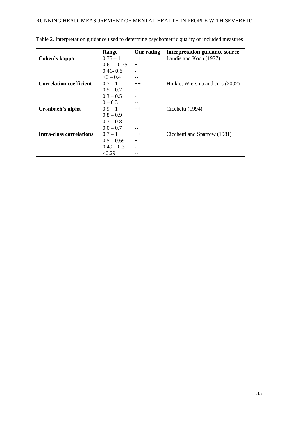|                                | Range          | Our rating               | <b>Interpretation guidance source</b> |
|--------------------------------|----------------|--------------------------|---------------------------------------|
| Cohen's kappa                  | $0.75 - 1$     | $++$                     | Landis and Koch (1977)                |
|                                | $0.61 - 0.75$  | $+$                      |                                       |
|                                | $0.41 - 0.6$   |                          |                                       |
|                                | $\leq 0 - 0.4$ |                          |                                       |
| <b>Correlation coefficient</b> | $0.7 - 1$      | $++$                     | Hinkle, Wiersma and Jurs (2002)       |
|                                | $0.5 - 0.7$    | $+$                      |                                       |
|                                | $0.3 - 0.5$    |                          |                                       |
|                                | $0 - 0.3$      |                          |                                       |
| Cronbach's alpha               | $0.9 - 1$      | $++$                     | Cicchetti (1994)                      |
|                                | $0.8 - 0.9$    | $+$                      |                                       |
|                                | $0.7 - 0.8$    | $\overline{\phantom{0}}$ |                                       |
|                                | $0.0 - 0.7$    |                          |                                       |
| Intra-class correlations       | $0.7 - 1$      | $++$                     | Cicchetti and Sparrow (1981)          |
|                                | $0.5 - 0.69$   | $+$                      |                                       |
|                                | $0.49 - 0.3$   | $\overline{\phantom{a}}$ |                                       |
|                                | < 0.29         |                          |                                       |

Table 2. Interpretation guidance used to determine psychometric quality of included measures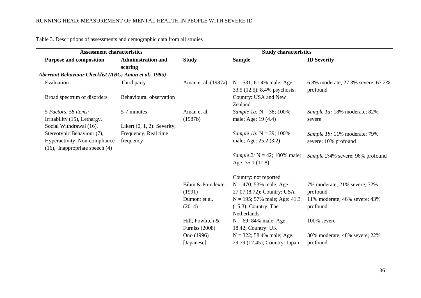| <b>Assessment characteristics</b>                     |                                |                       | <b>Study characteristics</b>                                 |                                                |  |
|-------------------------------------------------------|--------------------------------|-----------------------|--------------------------------------------------------------|------------------------------------------------|--|
| <b>Purpose and composition</b>                        | <b>Administration and</b>      | <b>Study</b>          | <b>Sample</b>                                                | <b>ID Severity</b>                             |  |
|                                                       | scoring                        |                       |                                                              |                                                |  |
| Aberrant Behaviour Checklist (ABC; Aman et al., 1985) |                                |                       |                                                              |                                                |  |
| Evaluation                                            | Third party                    | Aman et al. (1987a)   | $N = 531$ ; 61.4% male; Age:<br>33.5 (12.5); 8.4% psychosis; | 6.8% moderate; 27.3% severe; 67.2%<br>profound |  |
| Broad spectrum of disorders                           | Behavioural observation        |                       | Country: USA and New<br>Zealand                              |                                                |  |
| 5 Factors, 58 items:                                  | 5-7 minutes                    | Aman et al.           | Sample 1a: $N = 38$ ; 100%                                   | Sample 1a: 18% moderate; 82%                   |  |
| Irritability (15), Lethargy,                          |                                | (1987b)               | male; Age: 19 (4.4)                                          | severe                                         |  |
| Social Withdrawal (16),                               | Likert $(0, 1, 2)$ : Severity, |                       |                                                              |                                                |  |
| Stereotypic Behaviour (7),                            | Frequency, Real time           |                       | Sample 1b: $N = 39$ ; 100%                                   | Sample 1b: 11% moderate; 79%                   |  |
| Hyperactivity, Non-compliance                         | frequency                      |                       | male; Age: 25.2 (3.2)                                        | severe; 10% profound                           |  |
| $(16)$ , Inappropriate speech $(4)$                   |                                |                       |                                                              |                                                |  |
|                                                       |                                |                       | Sample 2: $N = 42$ ; 100% male;                              | Sample 2:4% severe; 96% profound               |  |
|                                                       |                                |                       | Age: 35.1 (11.8)                                             |                                                |  |
|                                                       |                                |                       | Country: not reported                                        |                                                |  |
|                                                       |                                | Bihm & Poindexter     | $N = 470$ ; 53% male; Age:                                   | 7% moderate; 21% severe; 72%                   |  |
|                                                       |                                | (1991)                | 27.07 (8.72); Country: USA                                   | profound                                       |  |
|                                                       |                                | Dumont et al.         | $N = 195$ ; 57% male; Age: 41.3                              | 11% moderate; 46% severe; 43%                  |  |
|                                                       |                                | (2014)                | $(15.3)$ ; Country: The                                      | profound                                       |  |
|                                                       |                                |                       | Netherlands                                                  |                                                |  |
|                                                       |                                | Hill, Powlitch &      | $N = 69$ ; 84% male; Age:                                    | 100% severe                                    |  |
|                                                       |                                | <b>Furniss</b> (2008) | 18.42; Country: UK                                           |                                                |  |
|                                                       |                                | Ono (1996)            | $N = 322$ ; 58.4% male; Age:                                 | 30% moderate; 48% severe; 22%                  |  |
|                                                       |                                | [Japanese]            | 29.79 (12.45); Country: Japan                                | profound                                       |  |

Table 3. Descriptions of assessments and demographic data from all studies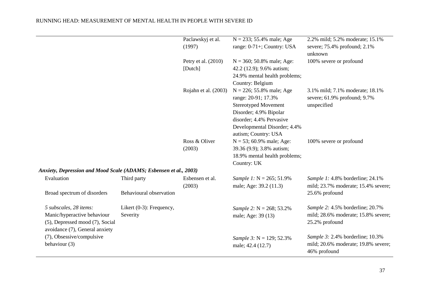|                                                                                                                            |                                         | Paclawskyj et al.<br>(1997)    | $N = 233$ ; 55.4% male; Age<br>range: 0-71+; Country: USA                                                                                                                                       | 2.2% mild; 5.2% moderate; 15.1%<br>severe; 75.4% profound; 2.1%<br>unknown                |
|----------------------------------------------------------------------------------------------------------------------------|-----------------------------------------|--------------------------------|-------------------------------------------------------------------------------------------------------------------------------------------------------------------------------------------------|-------------------------------------------------------------------------------------------|
|                                                                                                                            |                                         | Petry et al. (2010)<br>[Dutch] | $N = 360$ ; 50.8% male; Age:<br>42.2 (12.9); 9.6% autism;<br>24.9% mental health problems;<br>Country: Belgium                                                                                  | 100% severe or profound                                                                   |
|                                                                                                                            |                                         | Rojahn et al. (2003)           | $N = 226$ ; 55.8% male; Age<br>range: 20-91; 17.3%<br><b>Stereotyped Movement</b><br>Disorder; 4.9% Bipolar<br>disorder; 4.4% Pervasive<br>Developmental Disorder; 4.4%<br>autism; Country: USA | 3.1% mild; 7.1% moderate; 18.1%<br>severe; 61.9% profound; 9.7%<br>unspecified            |
|                                                                                                                            |                                         | Ross & Oliver<br>(2003)        | $N = 53$ ; 60.9% male; Age:<br>39.36 (9.9); 3.8% autism;<br>18.9% mental health problems;<br>Country: UK                                                                                        | 100% severe or profound                                                                   |
| Anxiety, Depression and Mood Scale (ADAMS; Esbensen et al., 2003)                                                          |                                         |                                |                                                                                                                                                                                                 |                                                                                           |
| Evaluation                                                                                                                 | Third party                             | Esbensen et al.<br>(2003)      | Sample 1: $N = 265$ ; 51.9%<br>male; Age: 39.2 (11.3)                                                                                                                                           | Sample 1: 4.8% borderline; 24.1%<br>mild; 23.7% moderate; 15.4% severe;                   |
| Broad spectrum of disorders                                                                                                | Behavioural observation                 |                                |                                                                                                                                                                                                 | 25.6% profound                                                                            |
| 5 subscales, 28 items:<br>Manic/hyperactive behaviour<br>(5), Depressed mood (7), Social<br>avoidance (7), General anxiety | Likert $(0-3)$ : Frequency,<br>Severity |                                | Sample 2: $N = 268$ ; 53.2%<br>male; Age: 39 (13)                                                                                                                                               | Sample 2: 4.5% borderline; 20.7%<br>mild; 28.6% moderate; 15.8% severe;<br>25.2% profound |
| (7), Obsessive/compulsive<br>behaviour (3)                                                                                 |                                         |                                | Sample 3: $N = 129$ ; 52.3%<br>male; 42.4 (12.7)                                                                                                                                                | Sample 3: 2.4% borderline; 10.3%<br>mild; 20.6% moderate; 19.8% severe;<br>46% profound   |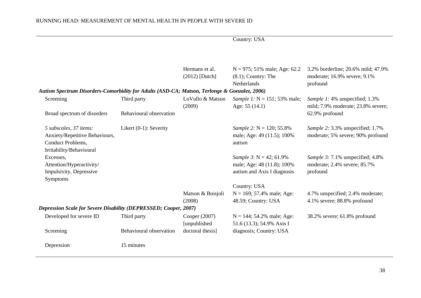|                                                                                              |                           |                            | Country: USA                                      |                                                                      |
|----------------------------------------------------------------------------------------------|---------------------------|----------------------------|---------------------------------------------------|----------------------------------------------------------------------|
|                                                                                              |                           |                            |                                                   |                                                                      |
|                                                                                              |                           | Hermans et al.             | $N = 975$ ; 51% male; Age: 62.2                   | 3.2% borderline; 20.6% mild; 47.9%                                   |
|                                                                                              |                           | $(2012)$ [Dutch]           | $(8.1)$ ; Country: The                            | moderate; 16.9% severe; 9.1%                                         |
|                                                                                              |                           |                            | Netherlands                                       | profound                                                             |
| Autism Spectrum Disorders-Comorbidity for Adults (ASD-CA; Matson, Terlonge & Gonzalez, 2006) |                           |                            |                                                   |                                                                      |
| Screening                                                                                    | Third party               | LoVullo & Matson<br>(2009) | Sample 1: $N = 151$ ; 53% male;<br>Age: 55 (14.1) | Sample 1: 4% unspecified; 1.3%<br>mild; 7.9% moderate; 23.8% severe; |
| Broad spectrum of disorders                                                                  | Behavioural observation   |                            |                                                   | 62.9% profound                                                       |
| 5 subscales, 37 items:                                                                       | Likert $(0-1)$ : Severity |                            | Sample 2: $N = 120$ ; 55.8%                       | Sample 2: 3.3% unspecified; 1.7%                                     |
| Anxiety/Repetitive Behaviours,                                                               |                           |                            | male; Age: 49 (11.5); 100%                        | moderate; 5% severe; 90% profound                                    |
| Conduct Problems,                                                                            |                           |                            | autism                                            |                                                                      |
| Irritability/Behavioural                                                                     |                           |                            |                                                   |                                                                      |
| Excesses,                                                                                    |                           |                            | Sample 3: $N = 42$ ; 61.9%                        | Sample 3: 7.1% unspecified; 4.8%                                     |
| Attention/Hyperactivity/                                                                     |                           |                            | male; Age: 48 (11.8); 100%                        | moderate; 2.4% severe; 85.7%                                         |
| Impulsivity, Depressive<br>Symptoms                                                          |                           |                            | autism and Axis I diagnosis                       | profound                                                             |
|                                                                                              |                           |                            | Country: USA                                      |                                                                      |
|                                                                                              |                           | Matson & Boisjoli          | $N = 169$ ; 57.4% male; Age:                      | 4.7% unspecified; 2.4% moderate;                                     |
|                                                                                              |                           | (2008)                     | 48.59; Country: USA                               | 4.1% severe; 88.8% profound                                          |
| <b>Depression Scale for Severe Disability (DEPRESSED; Cooper, 2007)</b>                      |                           |                            |                                                   |                                                                      |
| Developed for severe ID                                                                      | Third party               | Cooper (2007)              | $N = 144$ ; 54.2% male; Age:                      | 38.2% severe; 61.8% profound                                         |
|                                                                                              |                           | [unpublished]              | 51.6 (13.3); 54.9% Axis I                         |                                                                      |
| Screening                                                                                    | Behavioural observation   | doctoral thesis]           | diagnosis; Country: USA                           |                                                                      |
| Depression                                                                                   | 15 minutes                |                            |                                                   |                                                                      |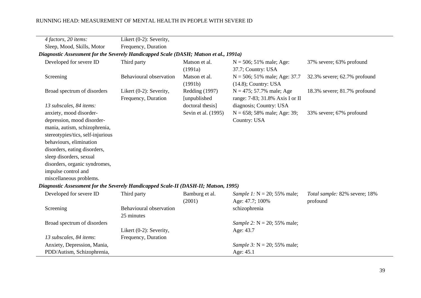| 4 factors, 20 items:                                                                  | Likert (0-2): Severity,                        |                                |                                                                |                                           |
|---------------------------------------------------------------------------------------|------------------------------------------------|--------------------------------|----------------------------------------------------------------|-------------------------------------------|
| Sleep, Mood, Skills, Motor                                                            | Frequency, Duration                            |                                |                                                                |                                           |
| Diagnostic Assessment for the Severely Handicapped Scale (DASH; Matson et al., 1991a) |                                                |                                |                                                                |                                           |
| Developed for severe ID                                                               | Third party                                    | Matson et al.                  | $N = 506$ ; 51% male; Age:                                     | 37% severe; 63% profound                  |
|                                                                                       |                                                | (1991a)                        | 37.7; Country: USA                                             |                                           |
| Screening                                                                             | Behavioural observation                        | Matson et al.<br>(1991b)       | $N = 506$ ; 51% male; Age: 37.7<br>$(14.8)$ ; Country: USA     | 32.3% severe; 62.7% profound              |
| Broad spectrum of disorders                                                           | Likert (0-2): Severity,<br>Frequency, Duration | Redding (1997)<br>[unpublished | $N = 475$ ; 57.7% male; Age<br>range: 7-83; 31.8% Axis I or II | 18.3% severe; 81.7% profound              |
| 13 subscales, 84 items:                                                               |                                                | doctoral thesis]               | diagnosis; Country: USA                                        |                                           |
| anxiety, mood disorder-                                                               |                                                | Sevin et al. (1995)            | $N = 658$ ; 58% male; Age: 39;                                 | 33% severe; 67% profound                  |
| depression, mood disorder-<br>mania, autism, schizophrenia,                           |                                                |                                | Country: USA                                                   |                                           |
| stereotypies/tics, self-injurious                                                     |                                                |                                |                                                                |                                           |
| behaviours, elimination                                                               |                                                |                                |                                                                |                                           |
| disorders, eating disorders,                                                          |                                                |                                |                                                                |                                           |
| sleep disorders, sexual                                                               |                                                |                                |                                                                |                                           |
| disorders, organic syndromes,                                                         |                                                |                                |                                                                |                                           |
| impulse control and                                                                   |                                                |                                |                                                                |                                           |
| miscellaneous problems.                                                               |                                                |                                |                                                                |                                           |
| Diagnostic Assessment for the Severely Handicapped Scale-II (DASH-II; Matson, 1995)   |                                                |                                |                                                                |                                           |
| Developed for severe ID                                                               | Third party                                    | Bamburg et al.<br>(2001)       | Sample 1: $N = 20$ ; 55% male;<br>Age: 47.7; 100%              | Total sample: 82% severe; 18%<br>profound |
| Screening                                                                             | Behavioural observation<br>25 minutes          |                                | schizophrenia                                                  |                                           |
| Broad spectrum of disorders                                                           |                                                |                                | Sample 2: $N = 20$ ; 55% male;                                 |                                           |
|                                                                                       | Likert (0-2): Severity,                        |                                | Age: 43.7                                                      |                                           |
| 13 subscales, 84 items:                                                               | Frequency, Duration                            |                                |                                                                |                                           |
| Anxiety, Depression, Mania,                                                           |                                                |                                | Sample 3: $N = 20$ ; 55% male;                                 |                                           |
| PDD/Autism, Schizophrenia,                                                            |                                                |                                | Age: 45.1                                                      |                                           |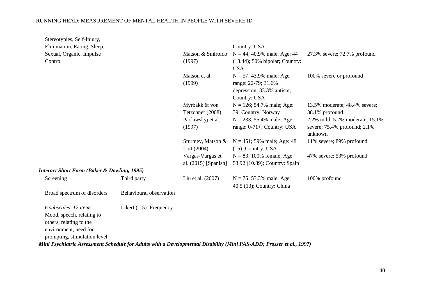| Stereotypies, Self-Injury,                                                                                           |                            |                             |                                                           |                                                                            |
|----------------------------------------------------------------------------------------------------------------------|----------------------------|-----------------------------|-----------------------------------------------------------|----------------------------------------------------------------------------|
| Elimination, Eating, Sleep,                                                                                          |                            |                             | Country: USA                                              |                                                                            |
| Sexual, Organic, Impulse                                                                                             |                            | Matson & Smiroldo           | $N = 44$ ; 40.9% male; Age: 44                            | 27.3% severe; 72.7% profound                                               |
| Control                                                                                                              |                            | (1997)                      | $(13.44)$ ; 50% bipolar; Country:                         |                                                                            |
|                                                                                                                      |                            |                             | <b>USA</b>                                                |                                                                            |
|                                                                                                                      |                            | Matson et al.<br>(1999)     | $N = 57$ ; 43.9% male; Age<br>range: 22-79; 31.6%         | 100% severe or profound                                                    |
|                                                                                                                      |                            |                             | depression; 33.3% autism;<br>Country: USA                 |                                                                            |
|                                                                                                                      |                            | Myrbakk & von               | $N = 126$ ; 54.7% male; Age:                              | 13.5% moderate; 48.4% severe;                                              |
|                                                                                                                      |                            | Tetzchner (2008)            | 39; Country: Norway                                       | 38.1% profound                                                             |
|                                                                                                                      |                            | Paclawskyj et al.<br>(1997) | $N = 233$ ; 55.4% male; Age<br>range: 0-71+; Country: USA | 2.2% mild; 5.2% moderate; 15.1%<br>severe; 75.4% profound; 2.1%<br>unknown |
|                                                                                                                      |                            | Sturmey, Matson &           | $N = 451$ ; 59% male; Age: 48                             | 11% severe; 89% profound                                                   |
|                                                                                                                      |                            | Lott $(2004)$               | $(15)$ ; Country: USA                                     |                                                                            |
|                                                                                                                      |                            | Vargas-Vargas et            | $N = 83$ ; 100% female; Age:                              | 47% severe; 53% profound                                                   |
|                                                                                                                      |                            | al. (2015) [Spanish]        | 53.92 (10.89); Country: Spain                             |                                                                            |
| <b>Interact Short Form (Baker &amp; Dowling, 1995)</b>                                                               |                            |                             |                                                           |                                                                            |
| Screening                                                                                                            | Third party                | Liu et al. $(2007)$         | $N = 75$ ; 53.3% male; Age:<br>40.5 (13); Country: China  | 100% profound                                                              |
| Broad spectrum of disorders                                                                                          | Behavioural observation    |                             |                                                           |                                                                            |
| 6 subscales, 12 items:                                                                                               | Likert $(1-5)$ : Frequency |                             |                                                           |                                                                            |
| Mood, speech, relating to<br>others, relating to the                                                                 |                            |                             |                                                           |                                                                            |
| environment, need for                                                                                                |                            |                             |                                                           |                                                                            |
| prompting, stimulation level                                                                                         |                            |                             |                                                           |                                                                            |
| Mini Psychiatric Assessment Schedule for Adults with a Developmental Disability (Mini PAS-ADD; Prosser et al., 1997) |                            |                             |                                                           |                                                                            |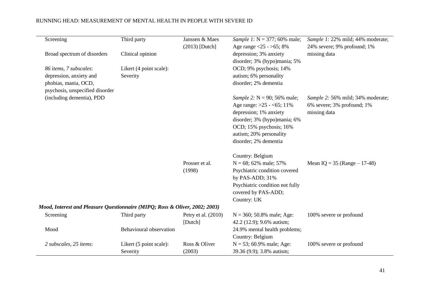| Screening                                                                   | Third party             | Janssen & Maes        | Sample 1: $N = 377$ ; 60% male; | Sample 1: 22% mild; 44% moderate; |
|-----------------------------------------------------------------------------|-------------------------|-----------------------|---------------------------------|-----------------------------------|
|                                                                             |                         | $(2013)$ [Dutch]      | Age range $<$ 25 - >65; 8%      | 24% severe; 9% profound; 1%       |
| Broad spectrum of disorders                                                 | Clinical opinion        |                       | depression; 3% anxiety          | missing data                      |
|                                                                             |                         |                       | disorder; 3% (hypo)mania; 5%    |                                   |
| 86 items, 7 subscales:                                                      | Likert (4 point scale): |                       | OCD; 9% psychosis; 14%          |                                   |
| depression, anxiety and                                                     | Severity                |                       | autism; 6% personality          |                                   |
| phobias, mania, OCD,                                                        |                         |                       | disorder; 2% dementia           |                                   |
| psychosis, unspecified disorder                                             |                         |                       |                                 |                                   |
| (including dementia), PDD                                                   |                         |                       | Sample 2: $N = 90$ ; 56% male;  | Sample 2: 56% mild; 34% moderate; |
|                                                                             |                         |                       | Age range: >25 - <65; 11%       | 6% severe; 3% profound; 1%        |
|                                                                             |                         |                       | depression; 1% anxiety          | missing data                      |
|                                                                             |                         |                       | disorder; 3% (hypo)mania; 6%    |                                   |
|                                                                             |                         |                       | OCD; 15% psychosis; 16%         |                                   |
|                                                                             |                         |                       | autism; 20% personality         |                                   |
|                                                                             |                         |                       | disorder; 2% dementia           |                                   |
|                                                                             |                         |                       | Country: Belgium                |                                   |
|                                                                             |                         | Prosser et al.        | $N = 68$ ; 62% male; 57%        | Mean IQ = $35$ (Range – 17-48)    |
|                                                                             |                         | (1998)                | Psychiatric condition covered   |                                   |
|                                                                             |                         |                       | by PAS-ADD; 31%                 |                                   |
|                                                                             |                         |                       | Psychiatric condition not fully |                                   |
|                                                                             |                         |                       |                                 |                                   |
|                                                                             |                         |                       | covered by PAS-ADD;             |                                   |
|                                                                             |                         |                       | Country: UK                     |                                   |
| Mood, Interest and Pleasure Questionnaire (MIPQ; Ross & Oliver, 2002; 2003) |                         |                       |                                 |                                   |
| Screening                                                                   | Third party             | Petry et al. $(2010)$ | $N = 360$ ; 50.8% male; Age:    | 100% severe or profound           |
|                                                                             |                         | [Dutch]               | 42.2 (12.9); 9.6% autism;       |                                   |
| Mood                                                                        | Behavioural observation |                       | 24.9% mental health problems;   |                                   |
|                                                                             |                         |                       | Country: Belgium                |                                   |
| 2 subscales, 25 items:                                                      | Likert (5 point scale): | Ross & Oliver         | $N = 53$ ; 60.9% male; Age:     | 100% severe or profound           |
|                                                                             | Severity                | (2003)                | 39.36 (9.9); 3.8% autism;       |                                   |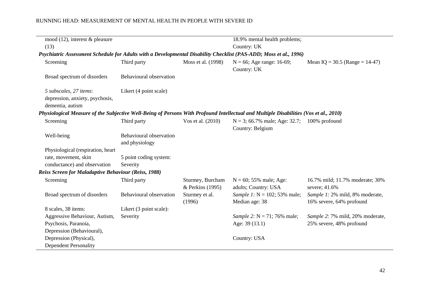| mood $(12)$ , interest & pleasure                                                                                                     |                                           |                                      | 18.9% mental health problems;                        |                                                              |
|---------------------------------------------------------------------------------------------------------------------------------------|-------------------------------------------|--------------------------------------|------------------------------------------------------|--------------------------------------------------------------|
| (13)                                                                                                                                  |                                           |                                      | Country: UK                                          |                                                              |
| Psychiatric Assessment Schedule for Adults with a Developmental Disability Checklist (PAS-ADD; Moss et al., 1996)                     |                                           |                                      |                                                      |                                                              |
| Screening                                                                                                                             | Third party                               | Moss et al. (1998)                   | $N = 66$ ; Age range: 16-69;<br>Country: UK          | Mean IQ = $30.5$ (Range = 14-47)                             |
| Broad spectrum of disorders                                                                                                           | Behavioural observation                   |                                      |                                                      |                                                              |
| 5 subscales, 27 items:<br>depression, anxiety, psychosis,<br>dementia, autism                                                         | Likert (4 point scale)                    |                                      |                                                      |                                                              |
| Physiological Measure of the Subjective Well-Being of Persons With Profound Intellectual and Multiple Disabilities (Vos et al., 2010) |                                           |                                      |                                                      |                                                              |
| Screening                                                                                                                             | Third party                               | Vos et al. (2010)                    | $N = 3$ ; 66.7% male; Age: 32.7;<br>Country: Belgium | 100% profound                                                |
| Well-being                                                                                                                            | Behavioural observation<br>and physiology |                                      |                                                      |                                                              |
| Physiological (respiration, heart                                                                                                     |                                           |                                      |                                                      |                                                              |
| rate, movement, skin                                                                                                                  | 5 point coding system:                    |                                      |                                                      |                                                              |
| conductance) and observation                                                                                                          | Severity                                  |                                      |                                                      |                                                              |
| <b>Reiss Screen for Maladaptive Behaviour (Reiss, 1988)</b>                                                                           |                                           |                                      |                                                      |                                                              |
| Screening                                                                                                                             | Third party                               | Sturmey, Burcham<br>& Perkins (1995) | $N = 60$ ; 55% male; Age:<br>adults; Country: USA    | 16.7% mild; 11.7% moderate; 30%<br>severe; 41.6%             |
| Broad spectrum of disorders                                                                                                           | Behavioural observation                   | Sturmey et al.<br>(1996)             | Sample 1: $N = 102$ ; 53% male;<br>Median age: 38    | Sample 1: 2% mild, 8% moderate,<br>16% severe, 64% profound  |
| 8 scales, 38 items:                                                                                                                   | Likert (3 point scale):                   |                                      |                                                      |                                                              |
| Aggressive Behaviour, Autism,<br>Psychosis, Paranoia,                                                                                 | Severity                                  |                                      | Sample 2: $N = 71$ ; 76% male;<br>Age: 39 (13.1)     | Sample 2: 7% mild, 20% moderate,<br>25% severe, 48% profound |
| Depression (Behavioural),<br>Depression (Physical),                                                                                   |                                           |                                      | <b>Country: USA</b>                                  |                                                              |
| <b>Dependent Personality</b>                                                                                                          |                                           |                                      |                                                      |                                                              |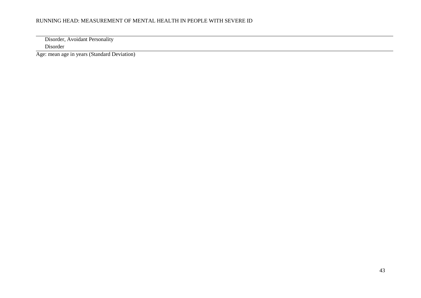Disorder, Avoidant Personality Disorder

Age: mean age in years (Standard Deviation)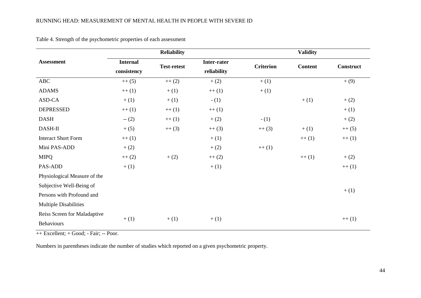|                              |                 | <b>Reliability</b> |             |                  | <b>Validity</b> |                  |
|------------------------------|-----------------|--------------------|-------------|------------------|-----------------|------------------|
| <b>Assessment</b>            | <b>Internal</b> | <b>Test-retest</b> | Inter-rater | <b>Criterion</b> | <b>Content</b>  | <b>Construct</b> |
|                              | consistency     |                    | reliability |                  |                 |                  |
| <b>ABC</b>                   | $++(5)$         | $++(2)$            | $+ (2)$     | $+ (1)$          |                 | $+(9)$           |
| <b>ADAMS</b>                 | $++(1)$         | $+(1)$             | $++(1)$     | $+ (1)$          |                 |                  |
| ASD-CA                       | $+ (1)$         | $+(1)$             | $- (1)$     |                  | $+(1)$          | $+ (2)$          |
| <b>DEPRESSED</b>             | $++(1)$         | $++(1)$            | $++(1)$     |                  |                 | $+ (1)$          |
| <b>DASH</b>                  | $- (2)$         | $++(1)$            | $+ (2)$     | $- (1)$          |                 | $+ (2)$          |
| DASH-II                      | $+(5)$          | $++(3)$            | $++(3)$     | $++(3)$          | $+(1)$          | $++(5)$          |
| <b>Interact Short Form</b>   | $++(1)$         |                    | $+(1)$      |                  | $++(1)$         | $++(1)$          |
| Mini PAS-ADD                 | $+ (2)$         |                    | $+ (2)$     | $++(1)$          |                 |                  |
| <b>MIPQ</b>                  | $++(2)$         | $+(2)$             | $++(2)$     |                  | $++(1)$         | $+ (2)$          |
| PAS-ADD                      | $+(1)$          |                    | $+(1)$      |                  |                 | $++(1)$          |
| Physiological Measure of the |                 |                    |             |                  |                 |                  |
| Subjective Well-Being of     |                 |                    |             |                  |                 |                  |
| Persons with Profound and    |                 |                    |             |                  |                 | $+(1)$           |
| <b>Multiple Disabilities</b> |                 |                    |             |                  |                 |                  |
| Reiss Screen for Maladaptive |                 |                    |             |                  |                 |                  |
| <b>Behaviours</b>            | $+ (1)$         | $+(1)$             | $+(1)$      |                  |                 | $++(1)$          |

Table 4. Strength of the psychometric properties of each assessment

 $++$  Excellent;  $+$  Good;  $-$  Fair;  $--$  Poor.

Numbers in parentheses indicate the number of studies which reported on a given psychometric property.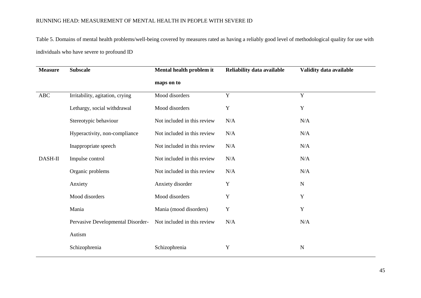Table 5. Domains of mental health problems/well-being covered by measures rated as having a reliably good level of methodological quality for use with individuals who have severe to profound ID

| <b>Measure</b> | <b>Subscale</b>                   | Mental health problem it    | Reliability data available | Validity data available |
|----------------|-----------------------------------|-----------------------------|----------------------------|-------------------------|
|                |                                   | maps on to                  |                            |                         |
| <b>ABC</b>     | Irritability, agitation, crying   | Mood disorders              | $\mathbf Y$                | $\mathbf Y$             |
|                | Lethargy, social withdrawal       | Mood disorders              | $\mathbf Y$                | Y                       |
|                | Stereotypic behaviour             | Not included in this review | N/A                        | N/A                     |
|                | Hyperactivity, non-compliance     | Not included in this review | N/A                        | N/A                     |
|                | Inappropriate speech              | Not included in this review | N/A                        | N/A                     |
| DASH-II        | Impulse control                   | Not included in this review | N/A                        | N/A                     |
|                | Organic problems                  | Not included in this review | N/A                        | N/A                     |
|                | Anxiety                           | Anxiety disorder            | Y                          | N                       |
|                | Mood disorders                    | Mood disorders              | Y                          | Y                       |
|                | Mania                             | Mania (mood disorders)      | $\mathbf Y$                | Y                       |
|                | Pervasive Developmental Disorder- | Not included in this review | N/A                        | N/A                     |
|                | Autism                            |                             |                            |                         |
|                | Schizophrenia                     | Schizophrenia               | $\mathbf Y$                | $\mathbf N$             |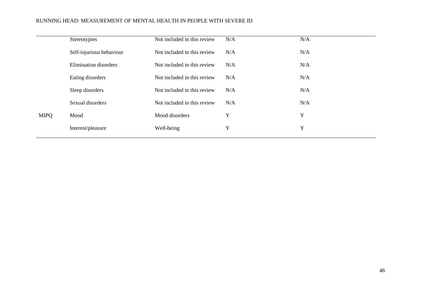|             | Stereotypies                 | Not included in this review | N/A | N/A |
|-------------|------------------------------|-----------------------------|-----|-----|
|             | Self-injurious behaviour     | Not included in this review | N/A | N/A |
|             | <b>Elimination</b> disorders | Not included in this review | N/A | N/A |
|             | Eating disorders             | Not included in this review | N/A | N/A |
|             | Sleep disorders              | Not included in this review | N/A | N/A |
|             | Sexual disorders             | Not included in this review | N/A | N/A |
| <b>MIPQ</b> | Mood                         | Mood disorders              | Y   | Y   |
|             | Interest/pleasure            | Well-being                  | Y   | Y   |
|             |                              |                             |     |     |